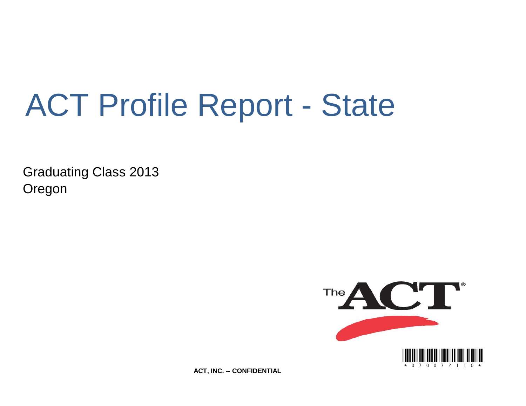# ACT Profile Report - State

Graduating Class 2013 Oregon



**ACT, INC. -- CONFIDENTIAL**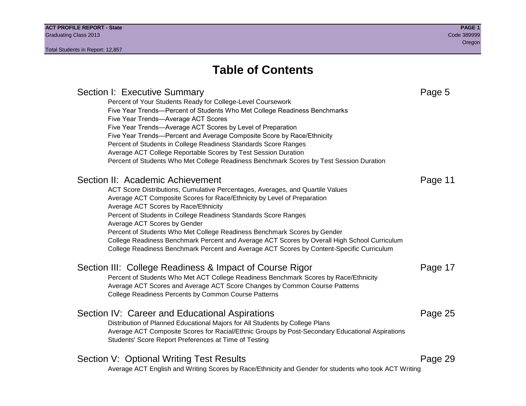## **Table of Contents**

Section I: Executive Summary **Page 5** and the section I: Executive Summary Percent of Your Students Ready for College-Level Coursework Five Year Trends—Percent of Students Who Met College Readiness Benchmarks Five Year Trends—Average ACT Scores Five Year Trends—Average ACT Scores by Level of Preparation Five Year Trends—Percent and Average Composite Score by Race/Ethnicity Percent of Students in College Readiness Standards Score Ranges Average ACT College Reportable Scores by Test Session Duration Percent of Students Who Met College Readiness Benchmark Scores by Test Session Duration Section II: Academic Achievement **Page 11** Page 11 ACT Score Distributions, Cumulative Percentages, Averages, and Quartile Values Average ACT Composite Scores for Race/Ethnicity by Level of Preparation Average ACT Scores by Race/Ethnicity Percent of Students in College Readiness Standards Score Ranges Average ACT Scores by Gender Percent of Students Who Met College Readiness Benchmark Scores by Gender College Readiness Benchmark Percent and Average ACT Scores by Overall High School Curriculum College Readiness Benchmark Percent and Average ACT Scores by Content-Specific Curriculum Section III: College Readiness & Impact of Course Rigor Page 17 Percent of Students Who Met ACT College Readiness Benchmark Scores by Race/Ethnicity Average ACT Scores and Average ACT Score Changes by Common Course Patterns College Readiness Percents by Common Course Patterns Section IV: Career and Educational Aspirations **Page 25** Page 25 Distribution of Planned Educational Majors for All Students by College Plans Average ACT Composite Scores for Racial/Ethnic Groups by Post-Secondary Educational Aspirations Students' Score Report Preferences at Time of Testing Section V: Optional Writing Test Results **Page 29** Page 29 Average ACT English and Writing Scores by Race/Ethnicity and Gender for students who took ACT Writing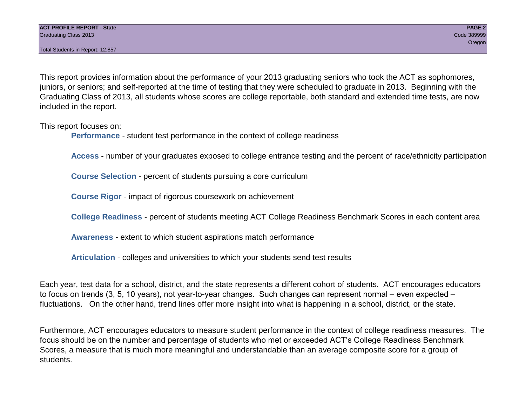This report provides information about the performance of your 2013 graduating seniors who took the ACT as sophomores, juniors, or seniors; and self-reported at the time of testing that they were scheduled to graduate in 2013. Beginning with the Graduating Class of 2013, all students whose scores are college reportable, both standard and extended time tests, are now included in the report.

This report focuses on:

**Performance** - student test performance in the context of college readiness

**Access** - number of your graduates exposed to college entrance testing and the percent of race/ethnicity participation

**Course Selection** - percent of students pursuing a core curriculum

**Course Rigor** - impact of rigorous coursework on achievement

**College Readiness** - percent of students meeting ACT College Readiness Benchmark Scores in each content area

**Awareness** - extent to which student aspirations match performance

**Articulation** - colleges and universities to which your students send test results

Each year, test data for a school, district, and the state represents a different cohort of students. ACT encourages educators to focus on trends (3, 5, 10 years), not year-to-year changes. Such changes can represent normal – even expected – fluctuations. On the other hand, trend lines offer more insight into what is happening in a school, district, or the state.

Furthermore, ACT encourages educators to measure student performance in the context of college readiness measures. The focus should be on the number and percentage of students who met or exceeded ACT's College Readiness Benchmark Scores, a measure that is much more meaningful and understandable than an average composite score for a group of students.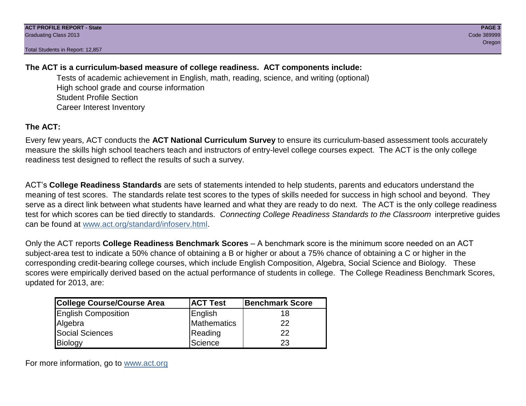### **The ACT is a curriculum-based measure of college readiness. ACT components include:**

Tests of academic achievement in English, math, reading, science, and writing (optional) High school grade and course information Student Profile Section Career Interest Inventory

### **The ACT:**

Every few years, ACT conducts the **ACT National Curriculum Survey** to ensure its curriculum-based assessment tools accurately measure the skills high school teachers teach and instructors of entry-level college courses expect. The ACT is the only college readiness test designed to reflect the results of such a survey.

ACT's **College Readiness Standards** are sets of statements intended to help students, parents and educators understand the meaning of test scores. The standards relate test scores to the types of skills needed for success in high school and beyond. They serve as a direct link between what students have learned and what they are ready to do next. The ACT is the only college readiness test for which scores can be tied directly to standards. *Connecting College Readiness Standards to the Classroom* interpretive guides can be found at www.act.org/standard/infoserv.html.

Only the ACT reports **College Readiness Benchmark Scores** – A benchmark score is the minimum score needed on an ACT subject-area test to indicate a 50% chance of obtaining a B or higher or about a 75% chance of obtaining a C or higher in the corresponding credit-bearing college courses, which include English Composition, Algebra, Social Science and Biology. These scores were empirically derived based on the actual performance of students in college. The College Readiness Benchmark Scores, updated for 2013, are:

| College Course/Course Area | <b>ACT Test</b> | <b>Benchmark Score</b> |
|----------------------------|-----------------|------------------------|
| <b>English Composition</b> | English         | 18                     |
| Algebra                    | Mathematics     | 22                     |
| <b>Social Sciences</b>     | Reading         | 22                     |
| Biology                    | Science         | 23                     |

For more information, go to www.act.org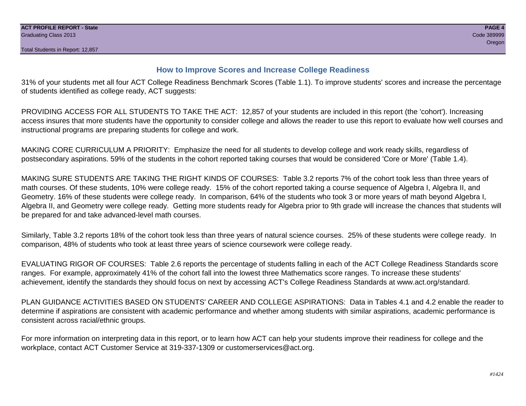#### **How to Improve Scores and Increase College Readiness**

31% of your students met all four ACT College Readiness Benchmark Scores (Table 1.1). To improve students' scores and increase the percentage of students identified as college ready, ACT suggests:

PROVIDING ACCESS FOR ALL STUDENTS TO TAKE THE ACT: 12,857 of your students are included in this report (the 'cohort'). Increasing access insures that more students have the opportunity to consider college and allows the reader to use this report to evaluate how well courses and instructional programs are preparing students for college and work.

MAKING CORE CURRICULUM A PRIORITY: Emphasize the need for all students to develop college and work ready skills, regardless of postsecondary aspirations. 59% of the students in the cohort reported taking courses that would be considered 'Core or More' (Table 1.4).

MAKING SURE STUDENTS ARE TAKING THE RIGHT KINDS OF COURSES: Table 3.2 reports 7% of the cohort took less than three years of math courses. Of these students, 10% were college ready. 15% of the cohort reported taking a course sequence of Algebra I, Algebra II, and Geometry. 16% of these students were college ready. In comparison, 64% of the students who took 3 or more years of math beyond Algebra I, Algebra II, and Geometry were college ready. Getting more students ready for Algebra prior to 9th grade will increase the chances that students will be prepared for and take advanced-level math courses.

Similarly, Table 3.2 reports 18% of the cohort took less than three years of natural science courses. 25% of these students were college ready. In comparison, 48% of students who took at least three years of science coursework were college ready.

EVALUATING RIGOR OF COURSES: Table 2.6 reports the percentage of students falling in each of the ACT College Readiness Standards score ranges. For example, approximately 41% of the cohort fall into the lowest three Mathematics score ranges. To increase these students' achievement, identify the standards they should focus on next by accessing ACT's College Readiness Standards at www.act.org/standard.

PLAN GUIDANCE ACTIVITIES BASED ON STUDENTS' CAREER AND COLLEGE ASPIRATIONS: Data in Tables 4.1 and 4.2 enable the reader to determine if aspirations are consistent with academic performance and whether among students with similar aspirations, academic performance is consistent across racial/ethnic groups.

For more information on interpreting data in this report, or to learn how ACT can help your students improve their readiness for college and the workplace, contact ACT Customer Service at 319-337-1309 or customerservices@act.org.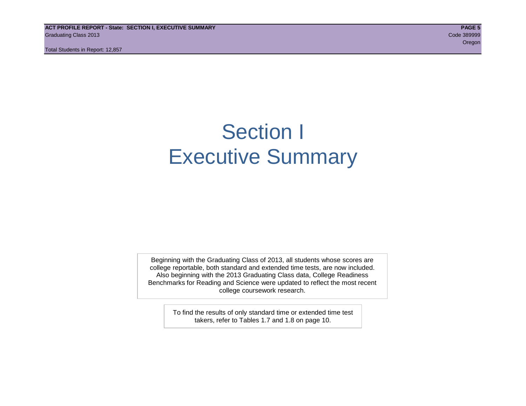**ACT PROFILE REPORT - State: SECTION I, EXECUTIVE SUMMARY PAGE 5** Graduating Class 2013 Code 389999

Total Students in Report: 12,857

oregon and the contract of the contract of the contract of the contract of the contract of the contract of the

## Section I Executive Summary

Beginning with the Graduating Class of 2013, all students whose scores are college reportable, both standard and extended time tests, are now included. Also beginning with the 2013 Graduating Class data, College Readiness Benchmarks for Reading and Science were updated to reflect the most recent college coursework research.

> To find the results of only standard time or extended time test takers, refer to Tables 1.7 and 1.8 on page 10.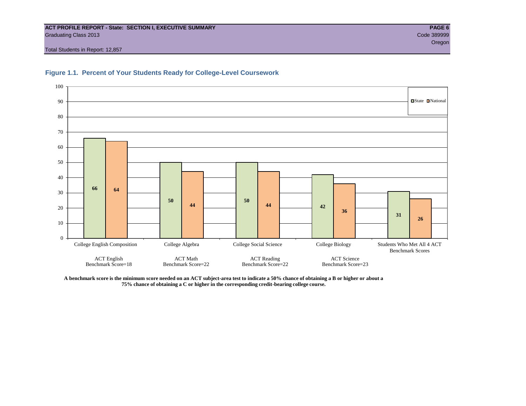#### **ACT PROFILE REPORT - State: SECTION I, EXECUTIVE SUMMARY PAGE 6** Graduating Class 2013 Code 389999

Total Students in Report: 12,857





**A benchmark score is the minimum score needed on an ACT subject-area test to indicate a 50% chance of obtaining a B or higher or about a 75% chance of obtaining a C or higher in the corresponding credit-bearing college course.**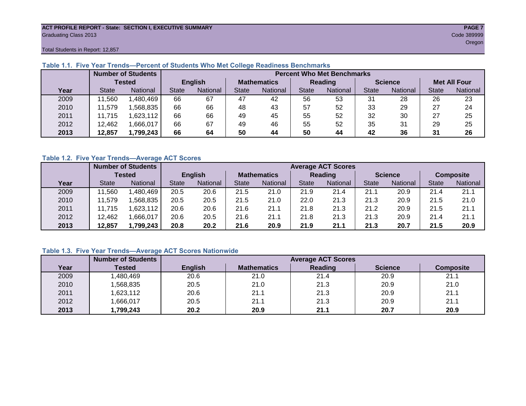#### **ACT PROFILE REPORT - State: SECTION I, EXECUTIVE SUMMARY PAGE 7** Graduating Class 2013 Code 389999

oregon and the contract of the contract of the contract of the contract of the contract of the Cregon of the C

Total Students in Report: 12,857

|      |               | <b>Number of Students</b> | <b>Percent Who Met Benchmarks</b> |          |                    |          |              |                 |                |          |                     |                 |  |  |
|------|---------------|---------------------------|-----------------------------------|----------|--------------------|----------|--------------|-----------------|----------------|----------|---------------------|-----------------|--|--|
|      | <b>Tested</b> |                           | <b>English</b>                    |          | <b>Mathematics</b> |          | Reading      |                 | <b>Science</b> |          | <b>Met All Four</b> |                 |  |  |
| Year | <b>State</b>  | <b>National</b>           | <b>State</b>                      | National |                    | National | <b>State</b> | <b>National</b> |                | National | <b>State</b>        | <b>National</b> |  |  |
| 2009 | 1,560         | ,480,469                  | 66                                | 67       | 47                 | 42       | 56           | 53              | 31             | 28       | 26                  | 23              |  |  |
| 2010 | 11,579        | .568.835                  | 66                                | 66       | 48                 | 43       | 57           | 52              | 33             | 29       | 27                  | 24              |  |  |
| 2011 | 11.715        | .623,112                  | 66                                | 66       | 49                 | 45       | 55           | 52              | 32             | 30       | 27                  | 25              |  |  |
| 2012 | 12,462        | .666,017                  | 66                                | 67       | 49                 | 46       | 55           | 52              | 35             | 31       | 29                  | 25              |  |  |
| 2013 | 12,857        | 1,799,243                 | 66                                | 64       | 50                 | 44       | 50           | 44              | 42             | 36       | 31                  | 26              |  |  |

#### **Table 1.1. Five Year Trends—Percent of Students Who Met College Readiness Benchmarks**

#### **Table 1.2. Five Year Trends—Average ACT Scores**

|      |              | <b>Number of Students</b> |              |                |                    | <b>Average ACT Scores</b> |                |                 |                |                 |                  |          |  |  |  |
|------|--------------|---------------------------|--------------|----------------|--------------------|---------------------------|----------------|-----------------|----------------|-----------------|------------------|----------|--|--|--|
|      |              | Tested                    |              | <b>English</b> | <b>Mathematics</b> |                           | <b>Reading</b> |                 | <b>Science</b> |                 | <b>Composite</b> |          |  |  |  |
| Year | <b>State</b> | National                  | <b>State</b> | National       | <b>State</b>       | <b>National</b>           | <b>State</b>   | <b>National</b> | <b>State</b>   | <b>National</b> | <b>State</b>     | National |  |  |  |
| 2009 | .560         | .480,469                  | 20.5         | 20.6           | 21.5               | 21.0                      | 21.9           | 21.4            | 21.1           | 20.9            | 21.4             | 21.1     |  |  |  |
| 2010 | .579<br>11   | .568.835                  | 20.5         | 20.5           | 21.5               | 21.0                      | 22.0           | 21.3            | 21.3           | 20.9            | 21.5             | 21.0     |  |  |  |
| 2011 | 11.715       | .623,112                  | 20.6         | 20.6           | 21.6               | 21.1                      | 21.8           | 21.3            | 21.2           | 20.9            | 21.5             | 21.1     |  |  |  |
| 2012 | 12,462       | .666,017                  | 20.6         | 20.5           | 21.6               | 21.1                      | 21.8           | 21.3            | 21.3           | 20.9            | 21.4             | 21.1     |  |  |  |
| 2013 | 12,857       | 1,799,243                 | 20.8         | 20.2           | 21.6               | 20.9                      | 21.9           | 21.1            | 21.3           | 20.7            | 21.5             | 20.9     |  |  |  |

#### **Table 1.3. Five Year Trends—Average ACT Scores Nationwide**

|      | <b>Number of Students</b> |                | <b>Average ACT Scores</b> |         |                |                  |  |  |  |  |  |  |
|------|---------------------------|----------------|---------------------------|---------|----------------|------------------|--|--|--|--|--|--|
| Year | Tested                    | <b>English</b> | <b>Mathematics</b>        | Reading | <b>Science</b> | <b>Composite</b> |  |  |  |  |  |  |
| 2009 | ,480,469                  | 20.6           | 21.0                      | 21.4    | 20.9           | 21.1             |  |  |  |  |  |  |
| 2010 | ,568,835                  | 20.5           | 21.0                      | 21.3    | 20.9           | 21.0             |  |  |  |  |  |  |
| 2011 | ,623,112                  | 20.6           | 21.1                      | 21.3    | 20.9           | 21.1             |  |  |  |  |  |  |
| 2012 | ,666,017                  | 20.5           | 21.1                      | 21.3    | 20.9           | 21.1             |  |  |  |  |  |  |
| 2013 | 1,799,243                 | 20.2           | 20.9                      | 21.1    | 20.7           | 20.9             |  |  |  |  |  |  |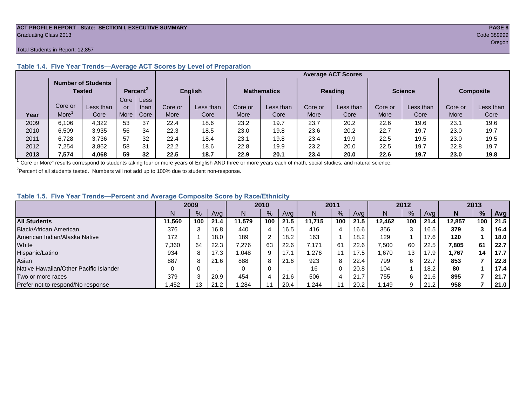#### **ACT PROFILE REPORT - State: SECTION I, EXECUTIVE SUMMARY PAGE 8** Graduating Class 2013 Code 389999

#### Total Students in Report: 12,857

|      |         | <b>Number of Students</b><br>Tested |      | Percent <sup>2</sup> |         | <b>English</b> |         | <b>Mathematics</b> |         | <b>Reading</b> |         | <b>Science</b> |         | <b>Composite</b> |
|------|---------|-------------------------------------|------|----------------------|---------|----------------|---------|--------------------|---------|----------------|---------|----------------|---------|------------------|
|      |         |                                     | Core | <b>Less</b>          |         |                |         |                    |         |                |         |                |         |                  |
|      | Core or | Less than                           | or   | than                 | Core or | Less than      | Core or | Less than          | Core or | Less than      | Core or | Less than      | Core or | Less than        |
| Year | More    | Core                                | More | Core                 | More    | Core           | More    | Core               | More    | Core           | More    | Core           | More    | Core             |
| 2009 | 6,106   | 4,322                               | 53   | 37                   | 22.4    | 18.6           | 23.2    | 19.7               | 23.7    | 20.2           | 22.6    | 19.6           | 23.7    | 19.6             |
| 2010 | 6,509   | 3,935                               | 56   | 34                   | 22.3    | 18.5           | 23.0    | 19.8               | 23.6    | 20.2           | 22.7    | 19.7           | 23.0    | 19.7             |
| 2011 | 6.728   | 3,736                               | 57   | 32                   | 22.4    | 18.4           | 23.1    | 19.8               | 23.4    | 19.9           | 22.5    | 19.5           | 23.0    | 19.5             |
| 2012 | 7,254   | 3.862                               | 58   | 31                   | 22.2    | 18.6           | 22.8    | 19.9               | 23.2    | 20.0           | 22.5    | 19.7           | 22.8    | 19.7             |
| 2013 | 7,574   | 4.068                               | 59   | 32                   | 22.5    | 18.7           | 22.9    | 20.1               | 23.4    | 20.0           | 22.6    | 19.7           | 23.0    | 19.8             |

#### **Table 1.4. Five Year Trends—Average ACT Scores by Level of Preparation**

<sup>1</sup>"Core or More" results correspond to students taking four or more years of English AND three or more years each of math, social studies, and natural science.

 $2$ Percent of all students tested. Numbers will not add up to 100% due to student non-response.

#### **Table 1.5. Five Year Trends—Percent and Average Composite Score by Race/Ethnicity**

|                                        | 2009   |      |      | 2010   |               |      | 2011   |               |      | 2012   |     |      | 2013   |      |      |
|----------------------------------------|--------|------|------|--------|---------------|------|--------|---------------|------|--------|-----|------|--------|------|------|
|                                        | N.     | $\%$ | Avg  | N      | $\frac{9}{6}$ | Avg  | N      | $\frac{9}{6}$ | Avg  | N      | %   | Ava  | N      | $\%$ | Avg  |
| <b>All Students</b>                    | 11.560 | 100  | 21.4 | 11.579 | 100           | 21.5 | 11.715 | 100           | 21.5 | 12.462 | 100 | 21.4 | 12.857 | 100  | 21.5 |
| Black/African American                 | 376    |      | 16.8 | 440    | 4             | 16.5 | 416    |               | 16.6 | 356    | 3   | 16.5 | 379    |      | 16.4 |
| American Indian/Alaska Native          | 172    |      | 18.0 | 189    | ⌒             | 18.2 | 163    |               | 18.2 | 129    |     | 17.6 | 120    |      | 18.0 |
| White                                  | 7,360  | 64   | 22.3 | 7,276  | 63            | 22.6 | 7.171  | 61            | 22.6 | 7,500  | 60  | 22.5 | 7,805  | 61   | 22.7 |
| Hispanic/Latino                        | 934    |      | 17.3 | 1,048  | 9             | 17.1 | .276   |               | 17.5 | 1.670  | 13  | 17.9 | 1,767  | 14   | 17.7 |
| Asian                                  | 887    |      | 21.6 | 888    | 8             | 21.6 | 923    | 8             | 22.4 | 799    | 6   | 22.7 | 853    |      | 22.8 |
| Native Hawaiian/Other Pacific Islander |        |      |      |        | 0             |      | 16     | 0             | 20.8 | 104    |     | 18.2 | 80     |      | 17.4 |
| Two or more races                      | 379    |      | 20.9 | 454    | 4             | 21.6 | 506    | Δ             | 21.7 | 755    | 6   | 21.6 | 895    |      | 21.7 |
| Prefer not to respond/No response      | .452   | 13   | 21.2 | .284   |               | 20.4 | .244   |               | 20.2 | .149   | 9   | 21.2 | 958    |      | 21.0 |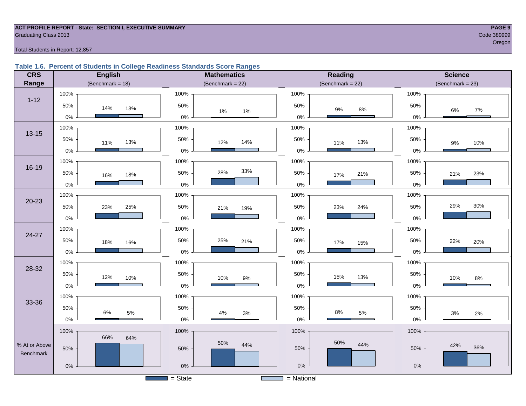## **ACT PROFILE REPORT - State: SECTION I, EXECUTIVE SUMMARY PAGE 9** Graduating Class 2013 Code 389999

oregon and the contract of the contract of the contract of the contract of the contract of the contract of the

#### Total Students in Report: 12,857

#### **Table 1.6. Percent of Students in College Readiness Standards Score Ranges**

| <b>CRS</b>    | <b>English</b>        | <b>Mathematics</b>                    | Reading             | <b>Science</b>      |
|---------------|-----------------------|---------------------------------------|---------------------|---------------------|
| Range         | (Benchmark = $18$ )   | (Benchmark = $22$ )                   | (Benchmark = $22$ ) | $(Benchmark = 23)$  |
|               | 100%                  | 100%                                  | 100%                | 100%                |
| $1 - 12$      | 50%<br>14%<br>13%     | 50%<br>$1\%$<br>$1\%$                 | 50%<br>$9\%$<br>8%  | 50%<br>$7\%$<br>6%  |
|               | $0\%$                 | $0\%$                                 | $0\%$               | $0\%$               |
| $13 - 15$     | 100%                  | 100%                                  | 100%                | 100%                |
|               | 50%<br>13%<br>11%     | 50%<br>14%<br>12%                     | 50%<br>13%<br>11%   | 50%<br>10%<br>$9\%$ |
|               | $0\%$                 | $0\%$                                 | $0\%$               | $0\%$               |
|               | 100%                  | 100%                                  | 100%                | 100%                |
| $16 - 19$     | 50%<br>18%<br>16%     | 33%<br>28%<br>50%                     | 50%<br>21%<br>17%   | 50%<br>23%<br>21%   |
|               | $0\%$                 | $0\%$                                 | $0\%$               | $0\%$               |
|               | 100%                  | 100%                                  | 100%                | 100%                |
| $20 - 23$     | 50%<br>25%<br>23%     | 50%<br>21%<br>19%                     | 50%<br>24%<br>23%   | 30%<br>29%<br>50%   |
|               | $0\%$                 | $0\%$                                 | $0\%$               | $0\%$               |
|               | 100%                  | 100%                                  | 100%                | 100%                |
| 24-27         | 50%<br>18%<br>16%     | 50%<br>25%<br>21%                     | 50%<br>17%<br>15%   | 50%<br>22%<br>20%   |
|               | $0\%$                 | 0%                                    | $0\%$               | 0%                  |
|               | 100%                  | 100%                                  | 100%                | 100%                |
| 28-32         | 50%<br>12%<br>10%     | 50%<br>10%<br>$9\%$                   | 50%<br>15%<br>13%   | 50%<br>10%<br>$8\%$ |
|               | $0\%$                 | $0\%$                                 | $0\%$               | $0\%$               |
|               | 100%                  | 100%                                  | 100%                | 100%                |
| 33-36         | 50%<br>$6\%$<br>$5\%$ | 50%                                   | 50%<br>$8\%$<br>5%  | 50%                 |
|               | $0\%$                 | 4%<br>$3%$<br>$0\%$                   | $0\%$               | $3%$<br>2%<br>$0\%$ |
|               | 100%                  | 100%                                  | 100%                | 100%                |
| % At or Above | 66%<br>64%            | 50%<br>44%                            | 50%<br>44%          | 42%                 |
| Benchmark     | 50%                   | 50%                                   | 50%                 | 36%<br>50%          |
|               | $0\%$                 | 0%                                    | $0\%$               | $0\%$               |
|               |                       | $=$ State<br><b>Contract Contract</b> | $=$ National        |                     |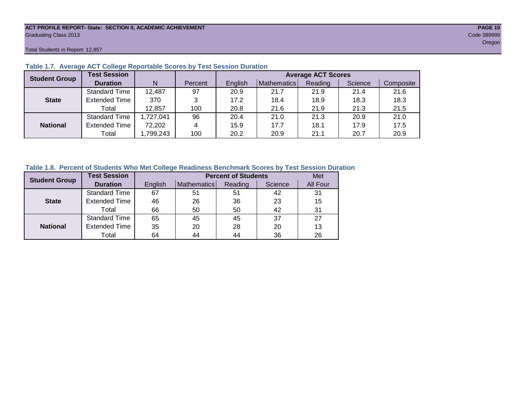#### **ACT PROFILE REPORT- State: SECTION II, ACADEMIC ACHIEVEMENT PAGE 10** Graduating Class 2013 Code 389999

Total Students in Report: 12,857

| <b>Student Group</b> | <b>Test Session</b>  |           |         | <b>Average ACT Scores</b> |             |         |         |           |  |  |  |  |
|----------------------|----------------------|-----------|---------|---------------------------|-------------|---------|---------|-----------|--|--|--|--|
|                      | <b>Duration</b>      | N         | Percent | English                   | Mathematics | Reading | Science | Composite |  |  |  |  |
|                      | <b>Standard Time</b> | 12,487    | 97      | 20.9                      | 21.7        | 21.9    | 21.4    | 21.6      |  |  |  |  |
| <b>State</b>         | <b>Extended Time</b> | 370       | 3       | 17.2                      | 18.4        | 18.9    | 18.3    | 18.3      |  |  |  |  |
|                      | Total                | 12,857    | 100     | 20.8                      | 21.6        | 21.9    | 21.3    | 21.5      |  |  |  |  |
|                      | <b>Standard Time</b> | 1,727,041 | 96      | 20.4                      | 21.0        | 21.3    | 20.9    | 21.0      |  |  |  |  |
| <b>National</b>      | <b>Extended Time</b> | 72,202    | 4       | 15.9                      | 17.7        | 18.1    | 17.9    | 17.5      |  |  |  |  |
|                      | Total                | ,799,243  | 100     | 20.2                      | 20.9        | 21.1    | 20.7    | 20.9      |  |  |  |  |

#### **Table 1.7. Average ACT College Reportable Scores by Test Session Duration**

#### **Table 1.8. Percent of Students Who Met College Readiness Benchmark Scores by Test Session Duration**

| <b>Student Group</b> | <b>Test Session</b>  |         | Met         |         |         |          |
|----------------------|----------------------|---------|-------------|---------|---------|----------|
|                      | <b>Duration</b>      | English | Mathematics | Reading | Science | All Four |
|                      | Standard Time        | 67      | 51          | 51      | 42      | 31       |
| <b>State</b>         | <b>Extended Time</b> | 46      | 26          | 36      | 23      | 15       |
|                      | Total                | 66      | 50          | 50      | 42      | 31       |
|                      | <b>Standard Time</b> | 65      | 45          | 45      | 37      | 27       |
| <b>National</b>      | <b>Extended Time</b> | 35      | 20          | 28      | 20      | 13       |
|                      | Total                | 64      | 44          | 44      | 36      | 26       |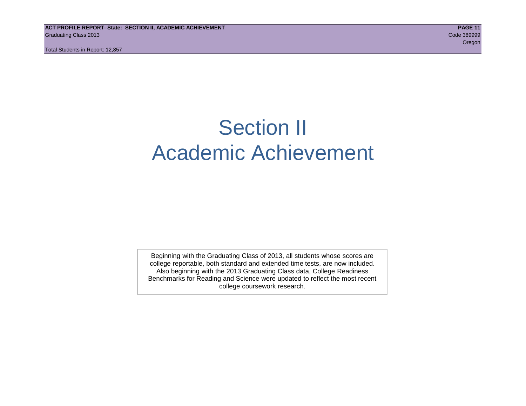## Section II Academic Achievement

Beginning with the Graduating Class of 2013, all students whose scores are college reportable, both standard and extended time tests, are now included. Also beginning with the 2013 Graduating Class data, College Readiness Benchmarks for Reading and Science were updated to reflect the most recent college coursework research.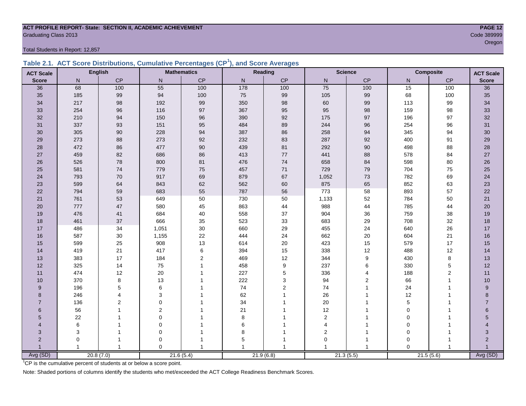### **ACT PROFILE REPORT- State: SECTION II, ACADEMIC ACHIEVEMENT PAGE 12** Graduating Class 2013 Code 389999

Total Students in Report: 12,857

|  | Table 2.1. ACT Score Distributions, Cumulative Percentages (CP <sup>1</sup> ), and Score Averages |  |  |  |
|--|---------------------------------------------------------------------------------------------------|--|--|--|
|  |                                                                                                   |  |  |  |

| <b>ACT Scale</b>         |     | <b>English</b> |              | <b>Mathematics</b> |              | Reading       | <b>Science</b>          |                  |             | <b>Composite</b> | <b>ACT Scale</b> |
|--------------------------|-----|----------------|--------------|--------------------|--------------|---------------|-------------------------|------------------|-------------|------------------|------------------|
| <b>Score</b>             | N   | $\mathsf{CP}$  | $\mathsf{N}$ | CP                 | $\mathsf{N}$ | $\mathsf{CP}$ | ${\sf N}$               | $\mathsf{CP}$    | N           | $\mathsf{CP}$    | <b>Score</b>     |
| 36                       | 68  | 100            | 55           | 100                | 178          | 100           | 75                      | 100              | 15          | 100              | $\overline{36}$  |
| 35                       | 185 | 99             | 94           | 100                | $75\,$       | 99            | 105                     | 99               | 68          | 100              | 35               |
| 34                       | 217 | 98             | 192          | 99                 | 350          | 98            | 60                      | 99               | 113         | 99               | 34               |
| 33                       | 254 | 96             | 116          | 97                 | 367          | 95            | 95                      | 98               | 159         | 98               | 33               |
| 32                       | 210 | 94             | 150          | 96                 | 390          | 92            | 175                     | 97               | 196         | 97               | 32               |
| 31                       | 337 | 93             | 151          | 95                 | 484          | 89            | 244                     | 96               | 254         | 96               | 31               |
| 30                       | 305 | 90             | 228          | 94                 | 387          | 86            | 258                     | 94               | 345         | 94               | 30 <sub>o</sub>  |
| 29                       | 273 | 88             | 273          | 92                 | 232          | 83            | 287                     | 92               | 400         | 91               | 29               |
| 28                       | 472 | 86             | 477          | $90\,$             | 439          | 81            | 292                     | 90               | 498         | 88               | 28               |
| 27                       | 459 | 82             | 686          | 86                 | 413          | 77            | 441                     | 88               | 578         | 84               | 27               |
| 26                       | 526 | 78             | 800          | 81                 | 476          | 74            | 658                     | 84               | 598         | 80               | 26               |
| 25                       | 581 | 74             | 779          | 75                 | 457          | 71            | 729                     | 79               | 704         | 75               | 25               |
| 24                       | 793 | 70             | 917          | 69                 | 879          | 67            | 1,052                   | 73               | 782         | 69               | 24               |
| 23                       | 599 | 64             | 843          | 62                 | 562          | 60            | 875                     | 65               | 852         | 63               | 23               |
| 22                       | 794 | 59             | 683          | 55                 | 787          | 56            | 773                     | 58               | 893         | 57               | 22               |
| 21                       | 761 | 53             | 649          | 50                 | 730          | 50            | 1,133                   | 52               | 784         | 50               | $21$             |
| 20                       | 777 | 47             | 580          | 45                 | 863          | 44            | 988                     | 44               | 785         | 44               | 20               |
| 19                       | 476 | 41             | 684          | $40\,$             | 558          | 37            | 904                     | 36               | 759         | 38               | 19               |
| 18                       | 461 | 37             | 666          | 35                 | 523          | 33            | 683                     | 29               | 708         | 32               | 18               |
| 17                       | 486 | 34             | 1,051        | $30\,$             | 660          | 29            | 455                     | 24               | 640         | 26               | 17               |
| 16                       | 587 | $30\,$         | 1,155        | 22                 | 444          | 24            | 662                     | 20               | 604         | 21               | 16               |
| 15                       | 599 | 25             | 908          | 13                 | 614          | 20            | 423                     | 15               | 579         | 17               | 15               |
| 14                       | 419 | 21             | 417          | $\,6\,$            | 394          | 15            | 338                     | 12               | 488         | 12               | 14               |
| 13                       | 383 | 17             | 184          | $\overline{2}$     | 469          | 12            | 344                     | $\boldsymbol{9}$ | 430         | 8                | 13               |
| 12                       | 325 | 14             | 75           | $\mathbf{1}$       | 458          | 9             | 237                     | 6                | 330         | $\mathbf 5$      | 12               |
| 11                       | 474 | 12             | 20           | $\overline{1}$     | 227          | 5             | 336                     | 4                | 188         | 2                | 11               |
| 10                       | 370 | 8              | 13           |                    | 222          | 3             | 94                      | $\overline{2}$   | 66          | $\overline{1}$   | 10               |
| 9                        | 196 | 5              | 6            |                    | 74           | 2             | 74                      |                  | 24          |                  | 9                |
| 8                        | 246 | 4              | 3            |                    | 62           |               | 26                      |                  | 12          |                  | 8                |
| $\overline{7}$           | 136 | $\overline{2}$ | $\Omega$     |                    | 34           |               | 20                      |                  | 5           |                  | $\overline{7}$   |
| 6                        | 56  |                | 2            |                    | 21           |               | 12                      |                  | $\mathbf 0$ |                  | 6                |
| 5                        | 22  |                | $\mathbf 0$  |                    | $\bf8$       |               | $\overline{2}$          |                  | 0           |                  | 5                |
| $\overline{\mathcal{A}}$ | 6   |                | $\Omega$     |                    | 6            |               | $\overline{4}$          |                  | $\Omega$    |                  |                  |
| 3                        | 3   |                | $\mathbf 0$  |                    | 8            |               | $\overline{\mathbf{c}}$ |                  | $\Omega$    |                  | 3                |
| $\overline{2}$           | 0   |                | 0            |                    | 5            |               | $\mathbf 0$             |                  | $\Omega$    |                  | $\overline{2}$   |
|                          |     | $\mathbf{1}$   | $\Omega$     | $\mathbf{1}$       |              |               |                         |                  | $\Omega$    |                  |                  |
| Avg (SD)                 |     | 20.8(7.0)      |              | 21.6(5.4)          |              | 21.9(6.8)     |                         | 21.3(5.5)        | 21.5(5.6)   |                  | Avg (SD)         |

oregon and the contract of the contract of the contract of the contract of the contract of the contract of the

<sup>1</sup>CP is the cumulative percent of students at or below a score point.

Note: Shaded portions of columns identify the students who met/exceeded the ACT College Readiness Benchmark Scores.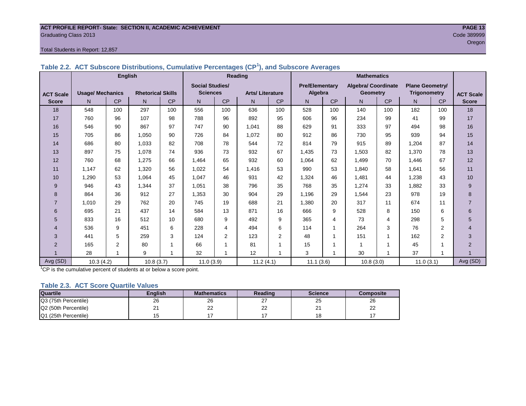#### **ACT PROFILE REPORT- State: SECTION II, ACADEMIC ACHIEVEMENT PAGE 13** Graduating Class 2013 Code 389999

#### Total Students in Report: 12,857

|                  |                         | <b>English</b> |                          |     |                        | <b>Reading</b> |                        |           |                       | <b>Mathematics</b> |                            |                          |                        |           |                  |
|------------------|-------------------------|----------------|--------------------------|-----|------------------------|----------------|------------------------|-----------|-----------------------|--------------------|----------------------------|--------------------------|------------------------|-----------|------------------|
|                  |                         |                |                          |     | <b>Social Studies/</b> |                |                        |           | <b>Pre/Elementarv</b> |                    | <b>Algebra/ Coordinate</b> |                          | <b>Plane Geometry/</b> |           |                  |
| <b>ACT Scale</b> | <b>Usage/ Mechanics</b> |                | <b>Rhetorical Skills</b> |     | <b>Sciences</b>        |                | <b>Arts/Literature</b> |           | Algebra               |                    | Geometry                   |                          | <b>Trigonometry</b>    |           | <b>ACT Scale</b> |
| <b>Score</b>     | N.                      | <b>CP</b>      | N                        | CP  | N                      | <b>CP</b>      | N                      | <b>CP</b> | N                     | <b>CP</b>          | N.                         | <b>CP</b>                | N.                     | <b>CP</b> | <b>Score</b>     |
| 18               | 548                     | 100            | 297                      | 100 | 556                    | 100            | 636                    | 100       | 528                   | 100                | 140                        | 100                      | 182                    | 100       | 18               |
| 17               | 760                     | 96             | 107                      | 98  | 788                    | 96             | 892                    | 95        | 606                   | 96                 | 234                        | 99                       | 41                     | 99        | 17               |
| 16               | 546                     | 90             | 867                      | 97  | 747                    | 90             | 1.041                  | 88        | 629                   | 91                 | 333                        | 97                       | 494                    | 98        | 16               |
| 15               | 705                     | 86             | 1,050                    | 90  | 726                    | 84             | 1,072                  | 80        | 912                   | 86                 | 730                        | 95                       | 939                    | 94        | 15               |
| 14               | 686                     | 80             | 1,033                    | 82  | 708                    | 78             | 544                    | 72        | 814                   | 79                 | 915                        | 89                       | 1,204                  | 87        | 14               |
| 13               | 897                     | 75             | 1,078                    | 74  | 936                    | 73             | 932                    | 67        | 1.435                 | 73                 | 1,503                      | 82                       | 1.370                  | 78        | 13               |
| 12               | 760                     | 68             | 1,275                    | 66  | 1,464                  | 65             | 932                    | 60        | 1,064                 | 62                 | 1,499                      | 70                       | 1,446                  | 67        | 12               |
| 11               | 1.147                   | 62             | 1,320                    | 56  | 1,022                  | 54             | 1,416                  | 53        | 990                   | 53                 | 1,840                      | 58                       | 1,641                  | 56        | 11               |
| 10               | 1,290                   | 53             | 1,064                    | 45  | 1,047                  | 46             | 931                    | 42        | 1,324                 | 46                 | 1,481                      | 44                       | 1,238                  | 43        | 10               |
| 9                | 946                     | 43             | 1,344                    | 37  | 1,051                  | 38             | 796                    | 35        | 768                   | 35                 | 1,274                      | 33                       | 1,882                  | 33        | 9                |
| 8                | 864                     | 36             | 912                      | 27  | 1,353                  | 30             | 904                    | 29        | 1.196                 | 29                 | 1.544                      | 23                       | 978                    | 19        | 8                |
| $\overline{7}$   | 1.010                   | 29             | 762                      | 20  | 745                    | 19             | 688                    | 21        | 1,380                 | 20                 | 317                        | 11                       | 674                    | 11        | $\overline{7}$   |
| 6                | 695                     | 21             | 437                      | 14  | 584                    | 13             | 871                    | 16        | 666                   | 9                  | 528                        | 8                        | 150                    | 6         | 6                |
| 5                | 833                     | 16             | 512                      | 10  | 680                    | 9              | 492                    | 9         | 365                   | 4                  | 73                         | 4                        | 298                    | 5         | 5                |
| 4                | 536                     | 9              | 451                      | 6   | 228                    | 4              | 494                    | 6         | 114                   | 1                  | 264                        | 3                        | 76                     | 2         | 4                |
| 3                | 441                     | 5              | 259                      | 3   | 124                    | $\overline{2}$ | 123                    | 2         | 48                    | $\mathbf 1$        | 151                        | 1                        | 162                    | 2         | 3                |
| $\overline{2}$   | 165                     | 2              | 80                       | 1   | 66                     |                | 81                     |           | 15                    | 1                  | 1                          | 1                        | 45                     |           | $\overline{2}$   |
|                  | 28                      | $\overline{ }$ | 9                        | 1   | 32                     |                | 12                     |           | 3                     | 1                  | 30                         | $\overline{\phantom{a}}$ | 37                     |           |                  |
| Avg (SD)         | 10.3(4.2)               |                | 10.8(3.7)                |     | 11.0(3.9)              |                | 11.2(4.1)              |           | 11.1(3.6)             |                    | 10.8(3.0)                  |                          | 11.0(3.1)              |           | Avg (SD)         |

#### **Table 2.2. ACT Subscore Distributions, Cumulative Percentages (CP<sup>1</sup> ), and Subscore Averages**

 $1$ <sup>-1</sup>CP is the cumulative percent of students at or below a score point.

#### **Table 2.3. ACT Score Quartile Values**

| <b>Quartile</b>      | Enalish  | <b>Mathematics</b> | Reading  | <b>Science</b> | Composite |
|----------------------|----------|--------------------|----------|----------------|-----------|
| Q3 (75th Percentile) | 26       | 26                 | ا ک      | 25             | 26        |
| Q2 (50th Percentile) | <u>.</u> | ົ<br>--            | nr<br>∠∠ | ິ<br>-         | __        |
| Q1 (25th Percentile) |          |                    |          | י ^<br>$\circ$ |           |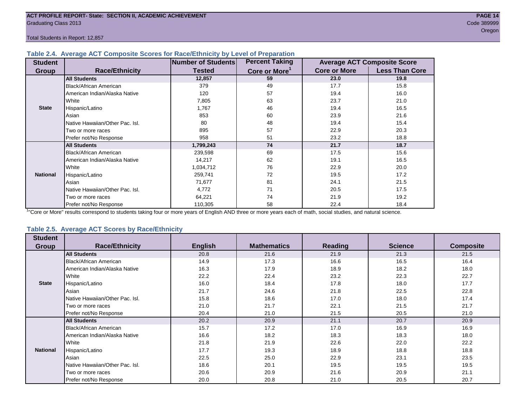#### **Table 2.4. Average ACT Composite Scores for Race/Ethnicity by Level of Preparation**

| <b>Student</b>  |                                 | <b>Number of Students</b> | <b>Percent Taking</b>     |                     | <b>Average ACT Composite Score</b> |
|-----------------|---------------------------------|---------------------------|---------------------------|---------------------|------------------------------------|
| <b>Group</b>    | <b>Race/Ethnicity</b>           | <b>Tested</b>             | Core or More <sup>1</sup> | <b>Core or More</b> | <b>Less Than Core</b>              |
|                 | <b>All Students</b>             | 12,857                    | 59                        | 23.0                | 19.8                               |
|                 | <b>Black/African American</b>   | 379                       | 49                        | 17.7                | 15.8                               |
|                 | American Indian/Alaska Native   | 120                       | 57                        | 19.4                | 16.0                               |
|                 | White                           | 7,805                     | 63                        | 23.7                | 21.0                               |
| <b>State</b>    | Hispanic/Latino                 | 1,767                     | 46                        | 19.4                | 16.5                               |
|                 | Asian                           | 853                       | 60                        | 23.9                | 21.6                               |
|                 | Native Hawaiian/Other Pac. Isl. | 80                        | 48                        | 19.4                | 15.4                               |
|                 | I Two or more races             | 895                       | 57                        | 22.9                | 20.3                               |
|                 | Prefer not/No Response          | 958                       | 51                        | 23.2                | 18.8                               |
|                 | <b>All Students</b>             | 1,799,243                 | 74                        | 21.7                | 18.7                               |
|                 | Black/African American          | 239,598                   | 69                        | 17.5                | 15.6                               |
|                 | American Indian/Alaska Native   | 14,217                    | 62                        | 19.1                | 16.5                               |
|                 | <b>White</b>                    | 1,034,712                 | 76                        | 22.9                | 20.0                               |
| <b>National</b> | Hispanic/Latino                 | 259,741                   | 72                        | 19.5                | 17.2                               |
|                 | Asian                           | 71,677                    | 81                        | 24.1                | 21.5                               |
|                 | Native Hawaiian/Other Pac. Isl. | 4,772                     | 71                        | 20.5                | 17.5                               |
|                 | Two or more races               | 64,221                    | 74                        | 21.9                | 19.2                               |
|                 | Prefer not/No Response          | 110,305                   | 58                        | 22.4                | 18.4                               |

<sup>1</sup>"Core or More" results correspond to students taking four or more years of English AND three or more years each of math, social studies, and natural science.

#### **Table 2.5. Average ACT Scores by Race/Ethnicity**

| <b>Student</b>  |                                 |                |                    |                |                |                  |
|-----------------|---------------------------------|----------------|--------------------|----------------|----------------|------------------|
| Group           | <b>Race/Ethnicity</b>           | <b>English</b> | <b>Mathematics</b> | <b>Reading</b> | <b>Science</b> | <b>Composite</b> |
|                 | <b>All Students</b>             | 20.8           | 21.6               | 21.9           | 21.3           | 21.5             |
|                 | Black/African American          | 14.9           | 17.3               | 16.6           | 16.5           | 16.4             |
|                 | American Indian/Alaska Native   | 16.3           | 17.9               | 18.9           | 18.2           | 18.0             |
|                 | White                           | 22.2           | 22.4               | 23.2           | 22.3           | 22.7             |
| <b>State</b>    | Hispanic/Latino                 | 16.0           | 18.4               | 17.8           | 18.0           | 17.7             |
|                 | Asian                           | 21.7           | 24.6               | 21.8           | 22.5           | 22.8             |
|                 | Native Hawaiian/Other Pac. Isl. | 15.8           | 18.6               | 17.0           | 18.0           | 17.4             |
|                 | Two or more races               | 21.0           | 21.7               | 22.1           | 21.5           | 21.7             |
|                 | Prefer not/No Response          | 20.4           | 21.0               | 21.5           | 20.5           | 21.0             |
|                 | <b>All Students</b>             | 20.2           | 20.9               | 21.1           | 20.7           | 20.9             |
|                 | <b>Black/African American</b>   | 15.7           | 17.2               | 17.0           | 16.9           | 16.9             |
|                 | American Indian/Alaska Native   | 16.6           | 18.2               | 18.3           | 18.3           | 18.0             |
|                 | White                           | 21.8           | 21.9               | 22.6           | 22.0           | 22.2             |
| <b>National</b> | Hispanic/Latino                 | 17.7           | 19.3               | 18.9           | 18.8           | 18.8             |
|                 | Asian                           | 22.5           | 25.0               | 22.9           | 23.1           | 23.5             |
|                 | Native Hawaiian/Other Pac. Isl. | 18.6           | 20.1               | 19.5           | 19.5           | 19.5             |
|                 | Two or more races               | 20.6           | 20.9               | 21.6           | 20.9           | 21.1             |
|                 | Prefer not/No Response          | 20.0           | 20.8               | 21.0           | 20.5           | 20.7             |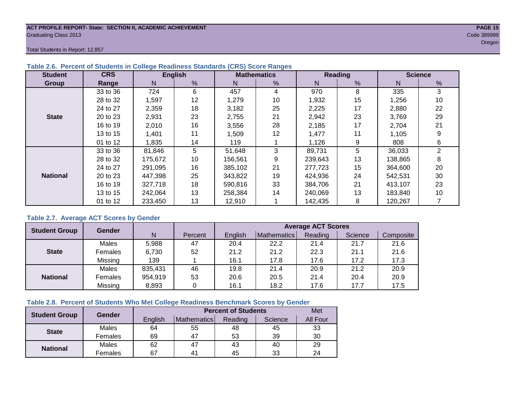#### **ACT PROFILE REPORT- State: SECTION II, ACADEMIC ACHIEVEMENT PAGE 15** Graduating Class 2013 Code 389999

Total Students in Report: 12,857

| <b>Student</b>  | <b>CRS</b> | <b>English</b> |    |         | <b>Mathematics</b> |         | Reading | <b>Science</b> |              |  |
|-----------------|------------|----------------|----|---------|--------------------|---------|---------|----------------|--------------|--|
| Group           | Range      | N              | %  | N       | %                  | N       | %       | N              | %            |  |
|                 | 33 to 36   | 724            | 6  | 457     | 4                  | 970     | 8       | 335            | 3            |  |
|                 | 28 to 32   | 1,597          | 12 | 1,279   | 10                 | 1,932   | 15      | 1,256          | 10           |  |
|                 | 24 to 27   | 2,359          | 18 | 3,182   | 25                 | 2,225   | 17      | 2,880          | 22           |  |
| <b>State</b>    | 20 to 23   | 2,931          | 23 | 2,755   | 21                 | 2,942   | 23      | 3,769          | 29           |  |
|                 | 16 to 19   | 2,010          | 16 | 3,556   | 28                 | 2,185   | 17      | 2.704          | 21           |  |
|                 | 13 to 15   | 1,401          | 11 | 1,509   | 12                 | 1,477   | 11      | 1,105          | 9            |  |
|                 | 01 to 12   | 1,835          | 14 | 119     |                    | 1,126   | 9       | 808            | 6            |  |
|                 | 33 to 36   | 81,846         | 5  | 51,648  | 3                  | 89,731  | 5       | 36,033         | $\mathbf{2}$ |  |
|                 | 28 to 32   | 175,672        | 10 | 156,561 | 9                  | 239,643 | 13      | 138,865        | 8            |  |
|                 | 24 to 27   | 291,095        | 16 | 385.102 | 21                 | 277,723 | 15      | 364,600        | 20           |  |
| <b>National</b> | 20 to 23   | 447,398        | 25 | 343,822 | 19                 | 424,936 | 24      | 542,531        | 30           |  |
|                 | 16 to 19   | 327,718        | 18 | 590,816 | 33                 | 384.706 | 21      | 413.107        | 23           |  |
|                 | 13 to 15   | 242.064        | 13 | 258.384 | 14                 | 240,069 | 13      | 183,840        | 10           |  |
|                 | 01 to 12   | 233,450        | 13 | 12,910  |                    | 142,435 | 8       | 120,267        |              |  |

#### **Table 2.6. Percent of Students in College Readiness Standards (CRS) Score Ranges**

#### **Table 2.7. Average ACT Scores by Gender**

| <b>Student Group</b> | <b>Gender</b> |         |         | <b>Average ACT Scores</b> |             |         |         |           |  |  |  |
|----------------------|---------------|---------|---------|---------------------------|-------------|---------|---------|-----------|--|--|--|
|                      |               | N       | Percent | Enalish                   | Mathematics | Reading | Science | Composite |  |  |  |
|                      | Males         | 5,988   | 47      | 20.4                      | 22.2        | 21.4    | 21.7    | 21.6      |  |  |  |
| <b>State</b>         | Females       | 6,730   | 52      | 21.2                      | 21.2        | 22.3    | 21.1    | 21.6      |  |  |  |
|                      | Missing       | 139     |         | 16.1                      | 17.8        | 17.6    | 17.2    | 17.3      |  |  |  |
|                      | Males         | 835,431 | 46      | 19.8                      | 21.4        | 20.9    | 21.2    | 20.9      |  |  |  |
| <b>National</b>      | Females       | 954,919 | 53      | 20.6                      | 20.5        | 21.4    | 20.4    | 20.9      |  |  |  |
|                      | Missing       | 8,893   | 0       | 16.1                      | 18.2        | 17.6    | 17.7    | 17.5      |  |  |  |

#### **Table 2.8. Percent of Students Who Met College Readiness Benchmark Scores by Gender**

| <b>Student Group</b> | Gender  |         | <b>Percent of Students</b> |         |         |          |  |  |  |  |
|----------------------|---------|---------|----------------------------|---------|---------|----------|--|--|--|--|
|                      |         | English | Mathematics                | Reading | Science | All Four |  |  |  |  |
| <b>State</b>         | Males   | 64      | 55                         | 48      | 45      | 33       |  |  |  |  |
|                      | Females | 69      | 47                         | 53      | 39      | 30       |  |  |  |  |
| <b>National</b>      | Males   | 62      | 47                         | 43      | 40      | 29       |  |  |  |  |
|                      | Females | 67      | $4^{\prime}$               | 45      | 33      | 24       |  |  |  |  |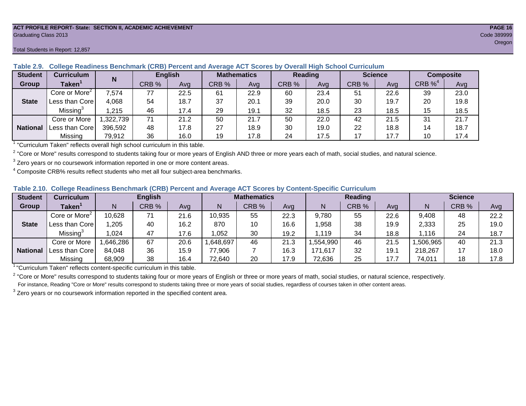#### **ACT PROFILE REPORT- State: SECTION II, ACADEMIC ACHIEVEMENT PAGE 16** Graduating Class 2013 Code 389999

#### Total Students in Report: 12,857

| <b>Student</b>  | <b>Curriculum</b>                       | N        | <b>English</b> |      | <b>Mathematics</b> |      | <b>Reading</b> |      |       | <b>Science</b> | <b>Composite</b> |      |
|-----------------|-----------------------------------------|----------|----------------|------|--------------------|------|----------------|------|-------|----------------|------------------|------|
| Group           | Taken $^{\scriptscriptstyle\mathsf{T}}$ |          | CRB %          | Avg  | CRB %              | Avg  | CRB %          | Avg  | CRB % | Ava            | $CRB\%4$         | Avg  |
|                 | Core or More <sup>2</sup>               | 7,574    | 77             | 22.5 | 61                 | 22.9 | 60             | 23.4 | 51    | 22.6           | 39               | 23.0 |
| <b>State</b>    | Less than Corel                         | 4,068    | 54             | 18.7 | 37                 | 20.1 | 39             | 20.0 | 30    | 19.7           | 20               | 19.8 |
|                 | Missing <sup>3</sup>                    | .215     | 46             | 17.4 | 29                 | 19.1 | 32             | 18.5 | 23    | 18.5           | 15               | 18.5 |
|                 | Core or More                            | ,322,739 | 71             | 21.2 | 50                 | 21.7 | 50             | 22.0 | 42    | 21.5           | 31               | 21.7 |
| <b>National</b> | Less than Corel                         | 396,592  | 48             | 17.8 | 27                 | 18.9 | 30             | 19.0 | 22    | 18.8           | 14               | 18.7 |
|                 | Missing                                 | 79,912   | 36             | 16.0 | 19                 | 17.8 | 24             | 17.5 | 17    | 17.7           | 10               | 17.4 |

#### **Table 2.9. College Readiness Benchmark (CRB) Percent and Average ACT Scores by Overall High School Curriculum**

<sup>1</sup> "Curriculum Taken" reflects overall high school curriculum in this table.

 $^2$  "Core or More" results correspond to students taking four or more years of English AND three or more years each of math, social studies, and natural science.

 $3$  Zero years or no coursework information reported in one or more content areas.

 $4$  Composite CRB% results reflect students who met all four subject-area benchmarks.

#### **Table 2.10. College Readiness Benchmark (CRB) Percent and Average ACT Scores by Content-Specific Curriculum**

| <b>Student</b>  | Curriculum                |          | <b>English</b> |      |          | <b>Mathematics</b> |      |          | <b>Reading</b> |      |          | <b>Science</b> |      |  |
|-----------------|---------------------------|----------|----------------|------|----------|--------------------|------|----------|----------------|------|----------|----------------|------|--|
| Group           | <b>Taken</b>              |          | CRB %          | Avg  |          | CRB %              | Avg  | N        | CRB %          | Avg  | N        | CRB %          | Avg  |  |
|                 | Core or More <sup>2</sup> | 10,628   | 71             | 21.6 | 10,935   | 55                 | 22.3 | 9,780    | 55             | 22.6 | 9,408    | 48             | 22.2 |  |
| <b>State</b>    | Less than Core            | ,205     | 40             | 16.2 | 870      | 10                 | 16.6 | ,958     | 38             | 19.9 | 2,333    | 25             | 19.0 |  |
|                 | Missing                   | 1,024    | 47             | 17.6 | .052     | 30                 | 19.2 | .119     | 34             | 18.8 | 1,116    | 24             | 18.7 |  |
|                 | Core or More              | ,646,286 | 67             | 20.6 | ,648,697 | 46                 | 21.3 | .554,990 | 46             | 21.5 | ,506,965 | 40             | 21.3 |  |
| <b>National</b> | Less than Core            | 84,048   | 36             | 15.9 | 77,906   |                    | 16.3 | 171,617  | 32             | 19.1 | 218,267  |                | 18.0 |  |
|                 | Missing                   | 68,909   | 38             | 16.4 | 72,640   | 20                 | 17.9 | 72,636   | 25             | 17.7 | 74,011   | 18             | 17.8 |  |

<sup>1</sup>"Curriculum Taken" reflects content-specific curriculum in this table.

<sup>2</sup> "Core or More" results correspond to students taking four or more years of English or three or more years of math, social studies, or natural science, respectively. For instance, Reading "Core or More" results correspond to students taking three or more years of social studies, regardless of courses taken in other content areas.

 $3$  Zero years or no coursework information reported in the specified content area.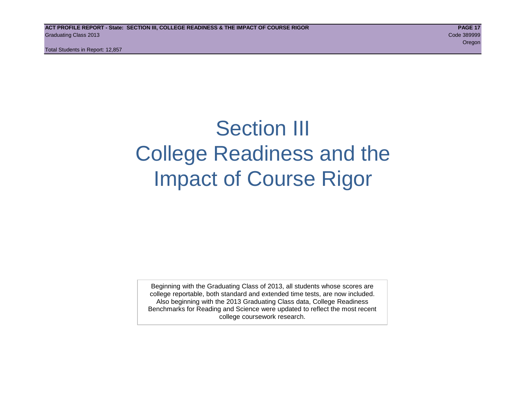## Section III College Readiness and the Impact of Course Rigor

Beginning with the Graduating Class of 2013, all students whose scores are college reportable, both standard and extended time tests, are now included. Also beginning with the 2013 Graduating Class data, College Readiness Benchmarks for Reading and Science were updated to reflect the most recent college coursework research.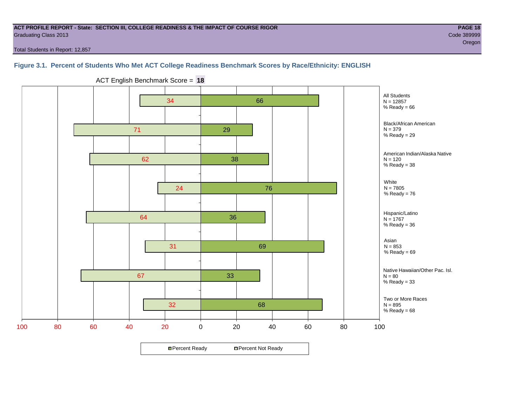#### **ACT PROFILE REPORT - State: SECTION III, COLLEGE READINESS & THE IMPACT OF COURSE RIGOR PAGE 18** Graduating Class 2013 Code 389999

Total Students in Report: 12,857

#### **Figure 3.1. Percent of Students Who Met ACT College Readiness Benchmark Scores by Race/Ethnicity: ENGLISH**



ACT English Benchmark Score = **18**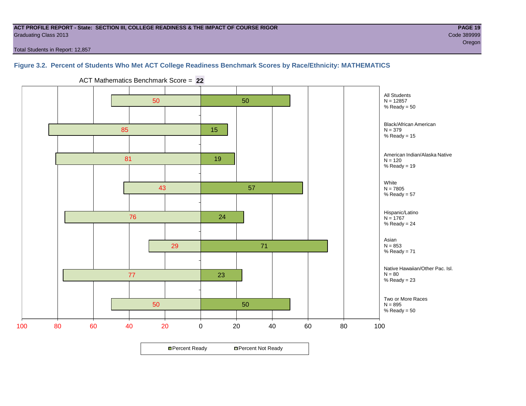#### **ACT PROFILE REPORT - State: SECTION III, COLLEGE READINESS & THE IMPACT OF COURSE RIGOR PAGE 19** Graduating Class 2013 Code 389999

Total Students in Report: 12,857

### **Figure 3.2. Percent of Students Who Met ACT College Readiness Benchmark Scores by Race/Ethnicity: MATHEMATICS**



ACT Mathematics Benchmark Score = **22**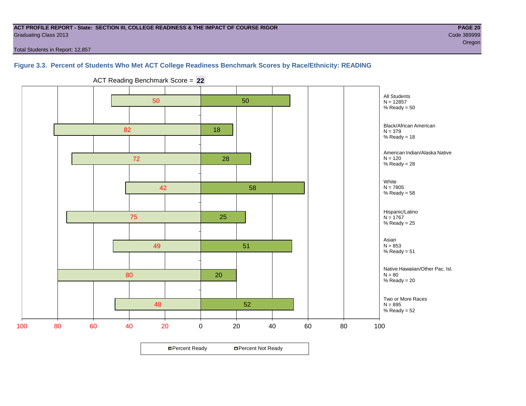#### **ACT PROFILE REPORT - State: SECTION III, COLLEGE READINESS & THE IMPACT OF COURSE RIGOR PAGE 20** Graduating Class 2013 Code 389999

Total Students in Report: 12,857

#### **Figure 3.3. Percent of Students Who Met ACT College Readiness Benchmark Scores by Race/Ethnicity: READING**



ACT Reading Benchmark Score = **22**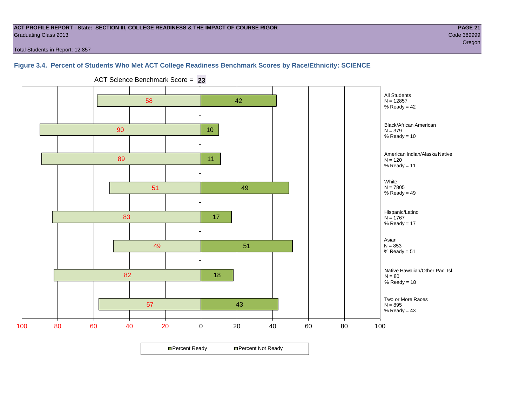#### **ACT PROFILE REPORT - State: SECTION III, COLLEGE READINESS & THE IMPACT OF COURSE RIGOR PAGE 21** Graduating Class 2013 Code 389999

oregon and the contract of the contract of the contract of the contract of the contract of the contract of the

Total Students in Report: 12,857

#### **Figure 3.4. Percent of Students Who Met ACT College Readiness Benchmark Scores by Race/Ethnicity: SCIENCE**

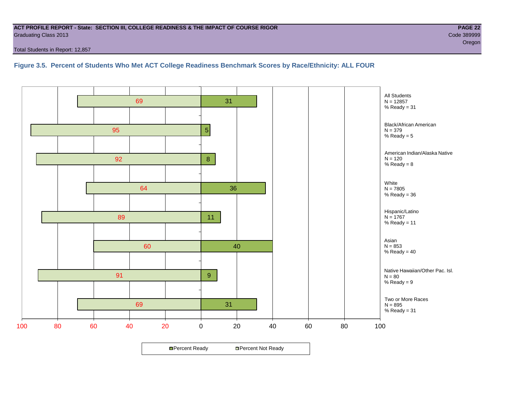#### **ACT PROFILE REPORT - State: SECTION III, COLLEGE READINESS & THE IMPACT OF COURSE RIGOR PAGE 22** Graduating Class 2013 Code 389999

Total Students in Report: 12,857

**Figure 3.5. Percent of Students Who Met ACT College Readiness Benchmark Scores by Race/Ethnicity: ALL FOUR**

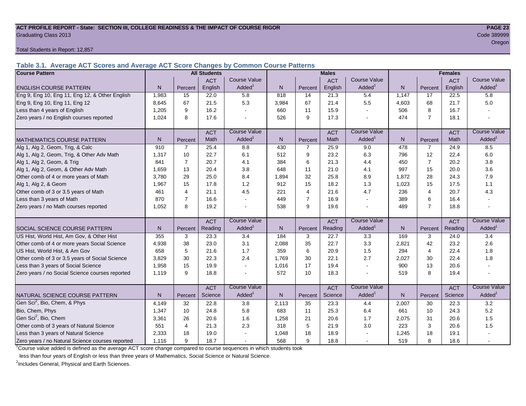#### **ACT PROFILE REPORT - State: SECTION III, COLLEGE READINESS & THE IMPACT OF COURSE RIGOR PAGE 23** Graduating Class 2013 Code 389999

Total Students in Report: 12,857

**Table 3.1. Average ACT Scores and Average ACT Score Changes by Common Course Patterns**

| <b>Course Pattern</b>                            |       |                | <b>All Students</b> |                     | <b>Males</b> |                |            | <b>Females</b>      |       |                |            |                        |
|--------------------------------------------------|-------|----------------|---------------------|---------------------|--------------|----------------|------------|---------------------|-------|----------------|------------|------------------------|
|                                                  |       |                | <b>ACT</b>          | Course Value        |              |                | <b>ACT</b> | <b>Course Value</b> |       |                | <b>ACT</b> | <b>Course Value</b>    |
| <b>ENGLISH COURSE PATTERN</b>                    | N.    | Percent        | English             | Added               | N.           | Percent        | English    | Added               | N     | Percent        | English    | Added <sup>1</sup>     |
| Eng 9, Eng 10, Eng 11, Eng 12, & Other English   | 1,983 | 15             | 22.0                | 5.8                 | 818          | 14             | 21.3       | 5.4                 | 1,147 | 17             | 22.5       | 5.8                    |
| Eng 9, Eng 10, Eng 11, Eng 12                    | 8.645 | 67             | 21.5                | 5.3                 | 3,984        | 67             | 21.4       | 5.5                 | 4.603 | 68             | 21.7       | 5.0                    |
| Less than 4 years of English                     | 1,205 | 9              | 16.2                |                     | 660          | 11             | 15.9       |                     | 506   | 8              | 16.7       |                        |
| Zero years / no English courses reported         | 1,024 | 8              | 17.6                |                     | 526          | 9              | 17.3       |                     | 474   | $\overline{7}$ | 18.1       |                        |
|                                                  |       |                | <b>ACT</b>          | <b>Course Value</b> |              |                | <b>ACT</b> | <b>Course Value</b> |       |                | <b>ACT</b> | <b>Course Value</b>    |
| <b>MATHEMATICS COURSE PATTERN</b>                | N.    | Percent        | Math                | Added               | N            | Percent        | Math       | Added <sup>1</sup>  | N     | Percent        | Math       | A d d e d <sup>1</sup> |
| Alg 1, Alg 2, Geom, Trig, & Calc                 | 910   | $\overline{7}$ | 25.4                | 8.8                 | 430          | $\overline{7}$ | 25.9       | 9.0                 | 478   | $\overline{7}$ | 24.9       | 8.5                    |
| Alg 1, Alg 2, Geom, Trig, & Other Adv Math       | 1,317 | 10             | 22.7                | 6.1                 | 512          | 9              | 23.2       | 6.3                 | 796   | 12             | 22.4       | $6.0\,$                |
| Alg 1, Alg 2, Geom, & Trig                       | 841   | $\overline{7}$ | 20.7                | 4.1                 | 384          | 6              | 21.3       | 4.4                 | 450   | $\overline{7}$ | 20.2       | 3.8                    |
| Alg 1, Alg 2, Geom, & Other Adv Math             | 1,659 | 13             | 20.4                | 3.8                 | 648          | 11             | 21.0       | 4.1                 | 997   | 15             | 20.0       | 3.6                    |
| Other comb of 4 or more years of Math            | 3,780 | 29             | 25.0                | 8.4                 | 1,894        | 32             | 25.8       | 8.9                 | 1,872 | 28             | 24.3       | $7.9$                  |
| Alg 1, Alg 2, & Geom                             | 1.967 | 15             | 17.8                | 1.2                 | 912          | 15             | 18.2       | 1.3                 | 1,023 | 15             | 17.5       | 1.1                    |
| Other comb of 3 or 3.5 years of Math             | 461   | 4              | 21.1                | 4.5                 | 221          | $\overline{4}$ | 21.6       | 4.7                 | 236   | $\overline{4}$ | 20.7       | 4.3                    |
| Less than 3 years of Math                        | 870   | $\overline{7}$ | 16.6                |                     | 449          | $\overline{7}$ | 16.9       | $\sim$              | 389   | 6              | 16.4       |                        |
| Zero years / no Math courses reported            | 1.052 | 8              | 19.2                |                     | 538          | 9              | 19.6       |                     | 489   | $\overline{7}$ | 18.8       |                        |
|                                                  |       |                | <b>ACT</b>          | <b>Course Value</b> |              |                | <b>ACT</b> | <b>Course Value</b> |       |                | <b>ACT</b> | <b>Course Value</b>    |
| SOCIAL SCIENCE COURSE PATTERN                    | N     | Percent        | Reading             | Added               | $\mathsf{N}$ | Percent        | Reading    | Added               | N     | Percent        | Reading    | Added <sup>1</sup>     |
| US Hist, World Hist, Am Gov, & Other Hist        | 355   | 3              | 23.3                | 3.4                 | 184          | 3              | 22.7       | 3.3                 | 169   | 3              | 24.0       | 3.4                    |
| Other comb of 4 or more years Social Science     | 4,938 | 38             | 23.0                | 3.1                 | 2,088        | 35             | 22.7       | 3.3                 | 2,821 | 42             | 23.2       | 2.6                    |
| US Hist, World Hist, & Am Gov                    | 658   | 5              | 21.6                | 1.7                 | 359          | 6              | 20.9       | 1.5                 | 294   | $\overline{4}$ | 22.4       | 1.8                    |
| Other comb of 3 or 3.5 years of Social Science   | 3.829 | 30             | 22.3                | 2.4                 | 1.769        | 30             | 22.1       | 2.7                 | 2,027 | 30             | 22.4       | 1.8                    |
| Less than 3 years of Social Science              | 1,958 | 15             | 19.9                |                     | 1,016        | 17             | 19.4       | $\overline{a}$      | 900   | 13             | 20.6       |                        |
| Zero years / no Social Science courses reported  | 1,119 | 9              | 18.8                |                     | 572          | 10             | 18.3       |                     | 519   | 8              | 19.4       | $\sim$                 |
|                                                  |       |                | <b>ACT</b>          | <b>Course Value</b> |              |                | <b>ACT</b> | Course Value        |       |                | <b>ACT</b> | <b>Course Value</b>    |
| NATURAL SCIENCE COURSE PATTERN                   | N     | Percent        | Science             | Added               | $\mathsf{N}$ | Percent        | Science    | Added               | N     | Percent        | Science    | A d d e d <sup>1</sup> |
| Gen Sci <sup>2</sup> , Bio, Chem, & Phys         | 4,149 | 32             | 22.8                | 3.8                 | 2,113        | 35             | 23.3       | 4.4                 | 2,007 | 30             | 22.3       | 3.2                    |
| Bio, Chem, Phys                                  | 1,347 | 10             | 24.8                | 5.8                 | 683          | 11             | 25.3       | 6.4                 | 661   | 10             | 24.3       | 5.2                    |
| Gen Sci <sup>2</sup> , Bio, Chem                 | 3,361 | 26             | 20.6                | 1.6                 | 1,258        | 21             | 20.6       | 1.7                 | 2,075 | 31             | 20.6       | 1.5                    |
| Other comb of 3 years of Natural Science         | 551   | 4              | 21.3                | 2.3                 | 318          | $\sqrt{5}$     | 21.9       | 3.0                 | 223   | 3              | 20.6       | 1.5                    |
| Less than 3 years of Natural Science             | 2,333 | 18             | 19.0                |                     | 1,048        | 18             | 18.9       |                     | 1,245 | 18             | 19.1       |                        |
| Zero years / no Natural Science courses reported | 1,116 | 9              | 18.7                |                     | 568          | 9              | 18.8       |                     | 519   | 8              | 18.6       |                        |

<sup>1</sup>Course value added is defined as the average ACT score change compared to course sequences in which students took

less than four years of English or less than three years of Mathematics, Social Science or Natural Science.

<sup>2</sup>Includes General, Physical and Earth Sciences.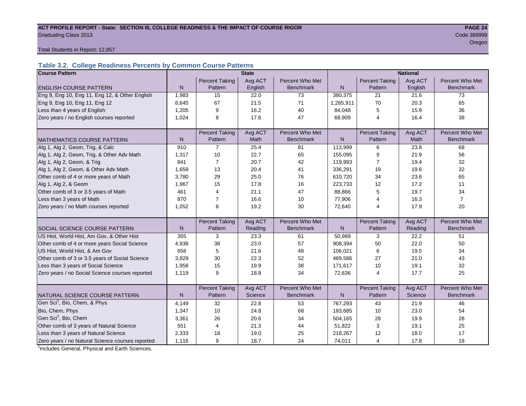## ACT PROFILE REPORT - State: SECTION III, COLLEGE READINESS & THE IMPACT OF COURSE RIGOR **PAGE 24** Graduating Class 2013 Code 389999

oregon and the contract of the contract of the contract of the contract of the contract of the Cregon of the C

Total Students in Report: 12,857

### **Table 3.2. College Readiness Percents by Common Course Patterns**

| <b>Course Pattern</b>                            | <b>State</b> |                       |             |                  |              | <b>National</b>       |         |                  |  |  |
|--------------------------------------------------|--------------|-----------------------|-------------|------------------|--------------|-----------------------|---------|------------------|--|--|
|                                                  |              | <b>Percent Taking</b> | Avg ACT     | Percent Who Met  |              | <b>Percent Taking</b> | Avg ACT | Percent Who Met  |  |  |
| <b>ENGLISH COURSE PATTERN</b>                    | $\mathsf{N}$ | Pattern               | English     | <b>Benchmark</b> | $\mathsf{N}$ | Pattern               | English | <b>Benchmark</b> |  |  |
| Eng 9, Eng 10, Eng 11, Eng 12, & Other English   | 1,983        | 15                    | 22.0        | 73               | 380.375      | 21                    | 21.6    | 73               |  |  |
| Eng 9, Eng 10, Eng 11, Eng 12                    | 8,645        | 67                    | 21.5        | 71               | 1,265,911    | 70                    | 20.3    | 65               |  |  |
| Less than 4 years of English                     | 1,205        | 9                     | 16.2        | 40               | 84,048       | 5                     | 15.9    | 36               |  |  |
| Zero years / no English courses reported         | 1,024        | 8                     | 17.6        | 47               | 68,909       | 4                     | 16.4    | 38               |  |  |
|                                                  |              |                       |             |                  |              |                       |         |                  |  |  |
|                                                  |              | <b>Percent Taking</b> | Avg ACT     | Percent Who Met  |              | <b>Percent Taking</b> | Avg ACT | Percent Who Met  |  |  |
| <b>MATHEMATICS COURSE PATTERN</b>                | N            | Pattern               | <b>Math</b> | <b>Benchmark</b> | N.           | Pattern               | Math    | <b>Benchmark</b> |  |  |
| Alg 1, Alg 2, Geom, Trig, & Calc                 | 910          | 7                     | 25.4        | 81               | 113,999      | 6                     | 23.8    | 68               |  |  |
| Alg 1, Alg 2, Geom, Trig, & Other Adv Math       | 1,317        | 10                    | 22.7        | 65               | 155,095      | 9                     | 21.9    | 56               |  |  |
| Alg 1, Alg 2, Geom, & Trig                       | 841          | 7                     | 20.7        | 42               | 119,993      | 7                     | 19.4    | 32               |  |  |
| Alg 1, Alg 2, Geom, & Other Adv Math             | 1,659        | 13                    | 20.4        | 41               | 336,291      | 19                    | 19.6    | 32               |  |  |
| Other comb of 4 or more years of Math            | 3,780        | 29                    | 25.0        | 76               | 610,720      | 34                    | 23.6    | 65               |  |  |
| Alg 1, Alg 2, & Geom                             | 1,967        | 15                    | 17.8        | 16               | 223,733      | 12                    | 17.2    | 11               |  |  |
| Other comb of 3 or 3.5 years of Math             | 461          | $\overline{4}$        | 21.1        | 47               | 88,866       | 5                     | 19.7    | 34               |  |  |
| Less than 3 years of Math                        | 870          | $\overline{7}$        | 16.6        | 10               | 77,906       | 4                     | 16.3    | $\overline{7}$   |  |  |
| Zero years / no Math courses reported            | 1,052        | 8                     | 19.2        | 30               | 72,640       | 4                     | 17.9    | 20               |  |  |
|                                                  |              |                       |             |                  |              |                       |         |                  |  |  |
|                                                  |              | <b>Percent Taking</b> | Avg ACT     | Percent Who Met  |              | <b>Percent Taking</b> | Avg ACT | Percent Who Met  |  |  |
| <b>SOCIAL SCIENCE COURSE PATTERN</b>             | N            | Pattern               | Reading     | <b>Benchmark</b> | $\mathsf{N}$ | Pattern               | Reading | <b>Benchmark</b> |  |  |
| US Hist, World Hist, Am Gov, & Other Hist        | 355          | 3                     | 23.3        | 61               | 50,989       | 3                     | 22.2    | 51               |  |  |
| Other comb of 4 or more years Social Science     | 4,938        | 38                    | 23.0        | 57               | 908,394      | 50                    | 22.0    | 50               |  |  |
| US Hist, World Hist, & Am Gov                    | 658          | 5                     | 21.6        | 48               | 106,021      | 6                     | 19.5    | 34               |  |  |
| Other comb of 3 or 3.5 years of Social Science   | 3,829        | 30                    | 22.3        | 52               | 489,586      | 27                    | 21.0    | 43               |  |  |
| Less than 3 years of Social Science              | 1,958        | 15                    | 19.9        | 38               | 171,617      | 10                    | 19.1    | 32               |  |  |
| Zero years / no Social Science courses reported  | 1,119        | 9                     | 18.8        | 34               | 72,636       | 4                     | 17.7    | 25               |  |  |
|                                                  |              |                       |             |                  |              |                       |         |                  |  |  |
|                                                  |              | <b>Percent Taking</b> | Avg ACT     | Percent Who Met  |              | <b>Percent Taking</b> | Avg ACT | Percent Who Met  |  |  |
| NATURAL SCIENCE COURSE PATTERN                   | N            | Pattern               | Science     | <b>Benchmark</b> | $\mathsf{N}$ | Pattern               | Science | <b>Benchmark</b> |  |  |
| Gen Sci <sup>1</sup> , Bio, Chem, & Phys         | 4,149        | 32                    | 22.8        | 53               | 767,293      | 43                    | 21.9    | 46               |  |  |
| Bio, Chem, Phys                                  | 1,347        | 10                    | 24.8        | 68               | 183,685      | 10                    | 23.0    | 54               |  |  |
| Gen Sci <sup>1</sup> , Bio, Chem                 | 3,361        | 26                    | 20.6        | 34               | 504.165      | 28                    | 19.9    | 28               |  |  |
| Other comb of 3 years of Natural Science         | 551          | $\overline{4}$        | 21.3        | 44               | 51,822       | 3                     | 19.1    | 25               |  |  |
| Less than 3 years of Natural Science             | 2,333        | 18                    | 19.0        | 25               | 218,267      | 12                    | 18.0    | 17               |  |  |
| Zero years / no Natural Science courses reported | 1.116        | 9                     | 18.7        | 24               | 74,011       | $\overline{4}$        | 17.8    | 18               |  |  |

<sup>1</sup>Includes General, Physical and Earth Sciences.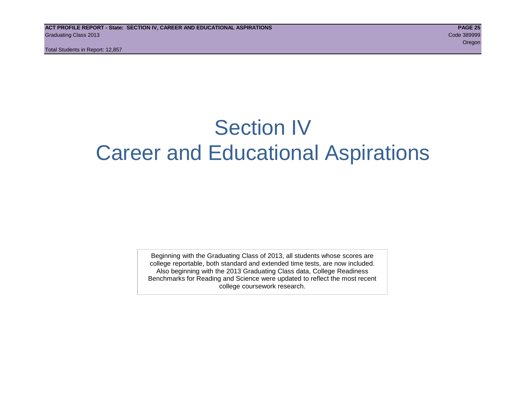## Section IV Career and Educational Aspirations

Beginning with the Graduating Class of 2013, all students whose scores are college reportable, both standard and extended time tests, are now included. Also beginning with the 2013 Graduating Class data, College Readiness Benchmarks for Reading and Science were updated to reflect the most recent college coursework research.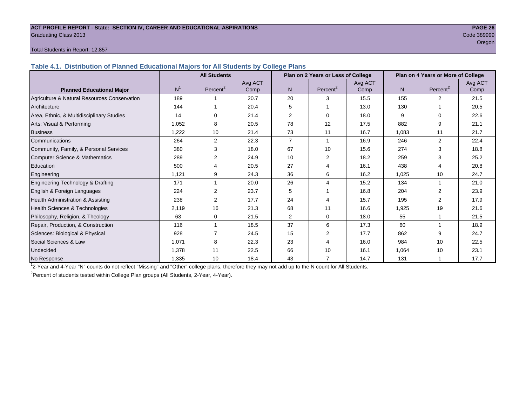## **ACT PROFILE REPORT - State: SECTION IV, CAREER AND EDUCATIONAL ASPIRATIONS PAGE 26** Graduating Class 2013 Code 389999

## oregon and the contract of the contract of the contract of the contract of the contract of the contract of the

#### Total Students in Report: 12,857

**Table 4.1. Distribution of Planned Educational Majors for All Students by College Plans**

|                                              | <b>All Students</b><br>Plan on 2 Years or Less of College |                      |         |                |                      | Plan on 4 Years or More of College |       |                      |         |
|----------------------------------------------|-----------------------------------------------------------|----------------------|---------|----------------|----------------------|------------------------------------|-------|----------------------|---------|
|                                              |                                                           |                      | Avg ACT |                |                      | Avg ACT                            |       |                      | Avg ACT |
| <b>Planned Educational Major</b>             | N <sup>1</sup>                                            | Percent <sup>2</sup> | Comp    | N <sub>1</sub> | Percent <sup>2</sup> | Comp                               | N.    | Percent <sup>2</sup> | Comp    |
| Agriculture & Natural Resources Conservation | 189                                                       |                      | 20.7    | 20             | 3                    | 15.5                               | 155   | $\overline{2}$       | 21.5    |
| Architecture                                 | 144                                                       |                      | 20.4    | 5              |                      | 13.0                               | 130   |                      | 20.5    |
| Area, Ethnic, & Multidisciplinary Studies    | 14                                                        | $\Omega$             | 21.4    | $\overline{2}$ | $\Omega$             | 18.0                               | 9     | $\Omega$             | 22.6    |
| Arts: Visual & Performing                    | 1,052                                                     | 8                    | 20.5    | 78             | 12                   | 17.5                               | 882   | 9                    | 21.1    |
| <b>Business</b>                              | 1,222                                                     | 10                   | 21.4    | 73             | 11                   | 16.7                               | 1,083 | 11                   | 21.7    |
| Communications                               | 264                                                       | $\overline{2}$       | 22.3    | $\overline{7}$ |                      | 16.9                               | 246   | $\overline{2}$       | 22.4    |
| Community, Family, & Personal Services       | 380                                                       | 3                    | 18.0    | 67             | 10                   | 15.6                               | 274   | 3                    | 18.8    |
| <b>Computer Science &amp; Mathematics</b>    | 289                                                       | $\overline{2}$       | 24.9    | 10             | 2                    | 18.2                               | 259   | 3                    | 25.2    |
| Education                                    | 500                                                       | 4                    | 20.5    | 27             | 4                    | 16.1                               | 438   | Δ                    | 20.8    |
| Engineering                                  | 1,121                                                     | 9                    | 24.3    | 36             | 6                    | 16.2                               | 1,025 | 10                   | 24.7    |
| Engineering Technology & Drafting            | 171                                                       |                      | 20.0    | 26             | 4                    | 15.2                               | 134   | $\mathbf{1}$         | 21.0    |
| English & Foreign Languages                  | 224                                                       | 2                    | 23.7    | 5              |                      | 16.8                               | 204   | $\mathcal{P}$        | 23.9    |
| Health Administration & Assisting            | 238                                                       | $\overline{2}$       | 17.7    | 24             |                      | 15.7                               | 195   | 2                    | 17.9    |
| Health Sciences & Technologies               | 2.119                                                     | 16                   | 21.3    | 68             | 11                   | 16.6                               | 1,925 | 19                   | 21.6    |
| Philosophy, Religion, & Theology             | 63                                                        | 0                    | 21.5    | $\overline{2}$ | 0                    | 18.0                               | 55    |                      | 21.5    |
| Repair, Production, & Construction           | 116                                                       |                      | 18.5    | 37             | 6                    | 17.3                               | 60    | 1                    | 18.9    |
| Sciences: Biological & Physical              | 928                                                       |                      | 24.5    | 15             | $\overline{2}$       | 17.7                               | 862   | 9                    | 24.7    |
| Social Sciences & Law                        | 1,071                                                     | 8                    | 22.3    | 23             | 4                    | 16.0                               | 984   | 10                   | 22.5    |
| <b>Undecided</b>                             | 1,378                                                     | 11                   | 22.5    | 66             | 10                   | 16.1                               | 1,064 | 10                   | 23.1    |
| No Response                                  | 1,335                                                     | 10                   | 18.4    | 43             | 7                    | 14.7                               | 131   |                      | 17.7    |

1 2-Year and 4-Year "N" counts do not reflect "Missing" and "Other" college plans, therefore they may not add up to the N count for All Students.

<sup>2</sup>Percent of students tested within College Plan groups (All Students, 2-Year, 4-Year).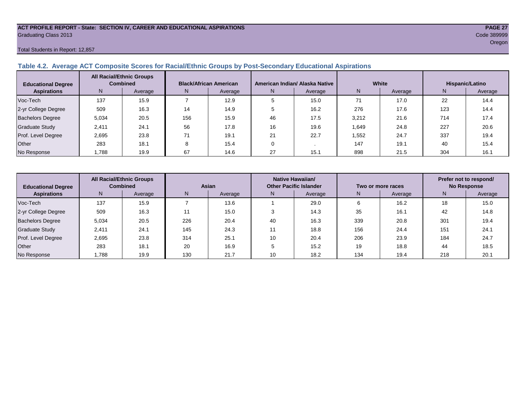#### **ACT PROFILE REPORT - State: SECTION IV, CAREER AND EDUCATIONAL ASPIRATIONS PAGE 27** Graduating Class 2013 Code 389999

#### Total Students in Report: 12,857

#### **Table 4.2. Average ACT Composite Scores for Racial/Ethnic Groups by Post-Secondary Educational Aspirations**

| <b>Educational Degree</b> |       | <b>All Racial/Ethnic Groups</b><br><b>Combined</b> |     | <b>Black/African American</b> |    | American Indian/ Alaska Native |       | White   | <b>Hispanic/Latino</b> |         |  |
|---------------------------|-------|----------------------------------------------------|-----|-------------------------------|----|--------------------------------|-------|---------|------------------------|---------|--|
| <b>Aspirations</b>        | N.    | Average                                            | N.  | Average                       | N. | Average                        | N     | Average | N                      | Average |  |
| Voc-Tech                  | 137   | 15.9                                               |     | 12.9                          |    | 15.0                           | 71    | 17.0    | 22                     | 14.4    |  |
| 2-yr College Degree       | 509   | 16.3                                               | 14  | 14.9                          |    | 16.2                           | 276   | 17.6    | 123                    | 14.4    |  |
| <b>Bachelors Degree</b>   | 5.034 | 20.5                                               | 156 | 15.9                          | 46 | 17.5                           | 3,212 | 21.6    | 714                    | 17.4    |  |
| <b>Graduate Study</b>     | 2.411 | 24.1                                               | 56  | 17.8                          | 16 | 19.6                           | 1,649 | 24.8    | 227                    | 20.6    |  |
| Prof. Level Degree        | 2.695 | 23.8                                               | 71  | 19.1                          | 21 | 22.7                           | 1.552 | 24.7    | 337                    | 19.4    |  |
| Other                     | 283   | 18.1                                               | ົ   | 15.4                          |    |                                | 147   | 19.1    | 40                     | 15.4    |  |
| No Response               | .788  | 19.9                                               | 67  | 14.6                          | 27 | 15.1                           | 898   | 21.5    | 304                    | 16.1    |  |

| <b>Educational Degree</b> | <b>All Racial/Ethnic Groups</b><br><b>Combined</b> |         | Asian |         | Native Hawaiian/<br><b>Other Pacific Islander</b> |         | Two or more races |         | Prefer not to respond/<br><b>No Response</b> |         |  |
|---------------------------|----------------------------------------------------|---------|-------|---------|---------------------------------------------------|---------|-------------------|---------|----------------------------------------------|---------|--|
| <b>Aspirations</b>        | N.                                                 | Average | N     | Average | N                                                 | Average | N                 | Average | N                                            | Average |  |
| Voc-Tech                  | 137                                                | 15.9    |       | 13.6    |                                                   | 29.0    |                   | 16.2    | 18                                           | 15.0    |  |
| 2-yr College Degree       | 509                                                | 16.3    |       | 15.0    |                                                   | 14.3    | 35                | 16.1    | 42                                           | 14.8    |  |
| <b>Bachelors Degree</b>   | 5,034                                              | 20.5    | 226   | 20.4    | 40                                                | 16.3    | 339               | 20.8    | 30 <sup>4</sup>                              | 19.4    |  |
| <b>Graduate Study</b>     | 2,411                                              | 24.1    | 145   | 24.3    |                                                   | 18.8    | 156               | 24.4    | 15 <sup>′</sup>                              | 24.1    |  |
| Prof. Level Degree        | 2.695                                              | 23.8    | 314   | 25.1    | 10                                                | 20.4    | 206               | 23.9    | 184                                          | 24.7    |  |
| Other                     | 283                                                | 18.1    | 20    | 16.9    |                                                   | 15.2    | 19                | 18.8    | 44                                           | 18.5    |  |
| No Response               | 1,788                                              | 19.9    | 130   | 21.7    | 10                                                | 18.2    | 134               | 19.4    | 218                                          | 20.1    |  |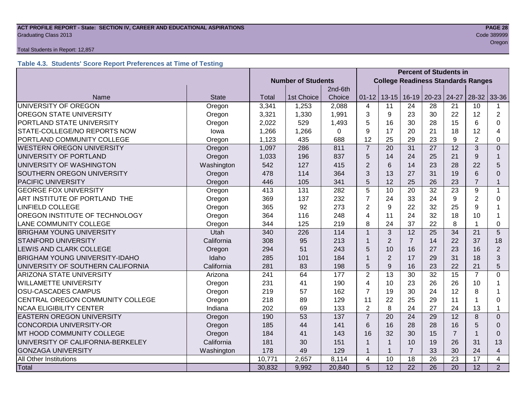## **ACT PROFILE REPORT - State: SECTION IV, CAREER AND EDUCATIONAL ASPIRATIONS PAGE 28** Graduating Class 2013 Code 389999

#### Total Students in Report: 12,857

### **Table 4.3. Students' Score Report Preferences at Time of Testing**

|                                       |              |                           |                                           |          | <b>Percent of Students in</b> |                 |                 |                 |                 |                 |                |
|---------------------------------------|--------------|---------------------------|-------------------------------------------|----------|-------------------------------|-----------------|-----------------|-----------------|-----------------|-----------------|----------------|
|                                       |              | <b>Number of Students</b> | <b>College Readiness Standards Ranges</b> |          |                               |                 |                 |                 |                 |                 |                |
|                                       |              | 2nd-6th                   |                                           |          |                               |                 |                 |                 |                 |                 |                |
| Name                                  | <b>State</b> | Total                     | 1st Choice                                | Choice   | $01 - 12$                     | $13 - 15$       | $16 - 19$       | $20 - 23$       | 24-27           | 28-32           | 33-36          |
| UNIVERSITY OF OREGON                  | Oregon       | 3,341                     | 1,253                                     | 2,088    | 4                             | 11              | 24              | 28              | 21              | 10              |                |
| <b>OREGON STATE UNIVERSITY</b>        | Oregon       | 3,321                     | 1,330                                     | 1,991    | 3                             | 9               | 23              | 30              | 22              | 12              | $\overline{2}$ |
| PORTLAND STATE UNIVERSITY             | Oregon       | 2,022                     | 529                                       | 1,493    | 5                             | 16              | 30              | 28              | 15              | 6               | $\Omega$       |
| STATE-COLLEGE/NO REPORTS NOW          | lowa         | 1,266                     | 1,266                                     | $\Omega$ | 9                             | 17              | 20              | 21              | 18              | 12              | 4              |
| PORTLAND COMMUNITY COLLEGE            | Oregon       | 1,123                     | 435                                       | 688      | 12                            | 25              | 29              | 23              | 9               | $\overline{2}$  | 0              |
| <b>WESTERN OREGON UNIVERSITY</b>      | Oregon       | 1,097                     | 286                                       | 811      | $\overline{7}$                | 20              | 31              | 27              | 12              | 3               | $\Omega$       |
| UNIVERSITY OF PORTLAND                | Oregon       | 1,033                     | 196                                       | 837      | 5                             | 14              | 24              | 25              | 21              | 9               | $\mathbf{1}$   |
| UNIVERSITY OF WASHINGTON              | Washington   | 542                       | 127                                       | 415      | $\overline{2}$                | 6               | 14              | 23              | 28              | 22              | 5              |
| SOUTHERN OREGON UNIVERSITY            | Oregon       | 478                       | 114                                       | 364      | 3                             | 13              | 27              | 31              | 19              | 6               | $\Omega$       |
| <b>PACIFIC UNIVERSITY</b>             | Oregon       | 446                       | 105                                       | 341      | 5                             | 12              | 25              | 26              | 23              | $\overline{7}$  | $\mathbf 1$    |
| <b>GEORGE FOX UNIVERSITY</b>          | Oregon       | 413                       | 131                                       | 282      | 5                             | 10              | 20              | 32              | 23              | 9               | 1              |
| ART INSTITUTE OF PORTLAND THE         | Oregon       | 369                       | 137                                       | 232      | $\overline{7}$                | 24              | 33              | 24              | $9\,$           | $\overline{2}$  | 0              |
| <b>LINFIELD COLLEGE</b>               | Oregon       | 365                       | 92                                        | 273      | $\overline{2}$                | 9               | 22              | 32              | 25              | 9               |                |
| OREGON INSTITUTE OF TECHNOLOGY        | Oregon       | 364                       | 116                                       | 248      | 4                             | 11              | 24              | 32              | 18              | 10              |                |
| <b>LANE COMMUNITY COLLEGE</b>         | Oregon       | 344                       | 125                                       | 219      | 8                             | 24              | 37              | 22              | 8               |                 | $\Omega$       |
| <b>BRIGHAM YOUNG UNIVERSITY</b>       | Utah         | 340                       | 226                                       | 114      | $\mathbf{1}$                  | 3               | 12              | 25              | 34              | 21              | 5              |
| <b>STANFORD UNIVERSITY</b>            | California   | 308                       | 95                                        | 213      | 1                             | $\overline{2}$  | $\overline{7}$  | 14              | 22              | 37              | 18             |
| LEWIS AND CLARK COLLEGE               | Oregon       | 294                       | 51                                        | 243      | 5                             | 10              | 16              | 27              | 23              | 16              | $\overline{2}$ |
| <b>BRIGHAM YOUNG UNIVERSITY-IDAHO</b> | Idaho        | 285                       | 101                                       | 184      | $\mathbf{1}$                  | $\overline{2}$  | 17              | 29              | 31              | 18              | 3              |
| UNIVERSITY OF SOUTHERN CALIFORNIA     | California   | 281                       | 83                                        | 198      | 5                             | 9               | 16              | 23              | 22              | 21              | 5              |
| <b>ARIZONA STATE UNIVERSITY</b>       | Arizona      | 241                       | 64                                        | 177      | $\overline{2}$                | 13              | 30              | 32              | 15              | $\overline{7}$  | $\Omega$       |
| <b>WILLAMETTE UNIVERSITY</b>          | Oregon       | 231                       | 41                                        | 190      | 4                             | 10              | 23              | 26              | 26              | 10              |                |
| OSU-CASCADES CAMPUS                   | Oregon       | 219                       | 57                                        | 162      | $\overline{7}$                | 19              | 30              | 24              | 12              | 8               |                |
| CENTRAL OREGON COMMUNITY COLLEGE      | Oregon       | 218                       | 89                                        | 129      | 11                            | 22              | 25              | 29              | 11              |                 | 0              |
| <b>NCAA ELIGIBILITY CENTER</b>        | Indiana      | 202                       | 69                                        | 133      | $\overline{2}$                | 8               | 24              | 27              | 24              | 13              | 1              |
| EASTERN OREGON UNIVERSITY             | Oregon       | 190                       | 53                                        | 137      | $\overline{7}$                | 20              | 24              | 29              | 12              | 8               | $\Omega$       |
| <b>CONCORDIA UNIVERSITY-OR</b>        | Oregon       | 185                       | 44                                        | 141      | 6                             | 16              | 28              | 28              | 16              | 5               | $\Omega$       |
| MT HOOD COMMUNITY COLLEGE             | Oregon       | 184                       | 41                                        | 143      | 16                            | 32              | 30              | 15              | $\overline{7}$  |                 | $\Omega$       |
| UNIVERSITY OF CALIFORNIA-BERKELEY     | California   | 181                       | 30                                        | 151      | 1                             | $\mathbf{1}$    | 10              | 19              | 26              | 31              | 13             |
| <b>GONZAGA UNIVERSITY</b>             | Washington   | 178                       | 49                                        | 129      | $\mathbf 1$                   | $\mathbf 1$     | $\overline{7}$  | 33              | 30              | 24              | 4              |
| All Other Institutions                |              | 10,771                    | 2,657                                     | 8,114    | 4                             | 10              | 18              | 26              | 23              | 17              | 4              |
| Total                                 |              | 30,832                    | 9,992                                     | 20,840   | $\overline{5}$                | $\overline{12}$ | $\overline{22}$ | $\overline{26}$ | $\overline{20}$ | $\overline{12}$ | $\overline{2}$ |

oregon and the contract of the contract of the contract of the contract of the contract of the contract of the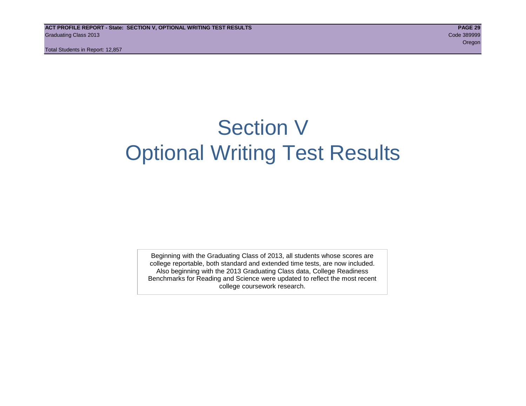## Section V Optional Writing Test Results

Beginning with the Graduating Class of 2013, all students whose scores are college reportable, both standard and extended time tests, are now included. Also beginning with the 2013 Graduating Class data, College Readiness Benchmarks for Reading and Science were updated to reflect the most recent college coursework research.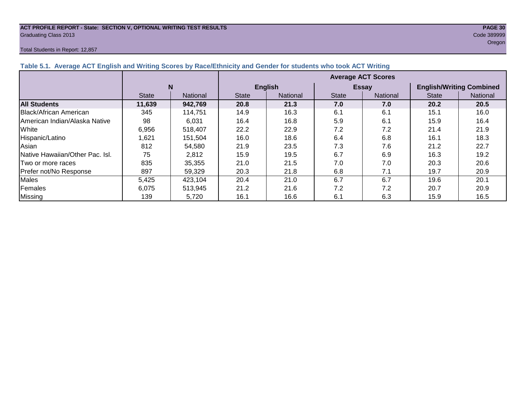#### **ACT PROFILE REPORT - State: SECTION V, OPTIONAL WRITING TEST RESULTS PAGE 30** Graduating Class 2013 Code 389999

#### Total Students in Report: 12,857

oregon and the contract of the contract of the contract of the contract of the contract of the contract of the

| Table 5.1. Average ACT English and Writing Scores by Race/Ethnicity and Gender for students who took ACT Writing |              |          |                           |                |              |                 |                                 |                 |  |  |  |
|------------------------------------------------------------------------------------------------------------------|--------------|----------|---------------------------|----------------|--------------|-----------------|---------------------------------|-----------------|--|--|--|
|                                                                                                                  |              |          | <b>Average ACT Scores</b> |                |              |                 |                                 |                 |  |  |  |
|                                                                                                                  | N            |          |                           | <b>English</b> |              | <b>Essay</b>    | <b>English/Writing Combined</b> |                 |  |  |  |
|                                                                                                                  | <b>State</b> | National | <b>State</b>              | National       | <b>State</b> | <b>National</b> | <b>State</b>                    | <b>National</b> |  |  |  |
| <b>All Students</b>                                                                                              | 11,639       | 942,769  | 20.8                      | 21.3           | 7.0          | 7.0             | 20.2                            | 20.5            |  |  |  |
| Black/African American                                                                                           | 345          | 114,751  | 14.9                      | 16.3           | 6.1          | 6.1             | 15.1                            | 16.0            |  |  |  |
| American Indian/Alaska Native                                                                                    | 98           | 6,031    | 16.4                      | 16.8           | 5.9          | 6.1             | 15.9                            | 16.4            |  |  |  |
| White                                                                                                            | 6,956        | 518,407  | 22.2                      | 22.9           | 7.2          | 7.2             | 21.4                            | 21.9            |  |  |  |
| Hispanic/Latino                                                                                                  | 1,621        | 151.504  | 16.0                      | 18.6           | 6.4          | 6.8             | 16.1                            | 18.3            |  |  |  |
| Asian                                                                                                            | 812          | 54,580   | 21.9                      | 23.5           | 7.3          | 7.6             | 21.2                            | 22.7            |  |  |  |
| Native Hawaiian/Other Pac. Isl.                                                                                  | 75           | 2,812    | 15.9                      | 19.5           | 6.7          | 6.9             | 16.3                            | 19.2            |  |  |  |
| <b>Two or more races</b>                                                                                         | 835          | 35,355   | 21.0                      | 21.5           | 7.0          | 7.0             | 20.3                            | 20.6            |  |  |  |
| Prefer not/No Response                                                                                           | 897          | 59,329   | 20.3                      | 21.8           | 6.8          | 7.1             | 19.7                            | 20.9            |  |  |  |
| <b>Males</b>                                                                                                     | 5,425        | 423.104  | 20.4                      | 21.0           | 6.7          | 6.7             | 19.6                            | 20.1            |  |  |  |
| Females                                                                                                          | 6.075        | 513,945  | 21.2                      | 21.6           | 7.2          | 7.2             | 20.7                            | 20.9            |  |  |  |
| <b>Missing</b>                                                                                                   | 139          | 5,720    | 16.1                      | 16.6           | 6.1          | 6.3             | 15.9                            | 16.5            |  |  |  |